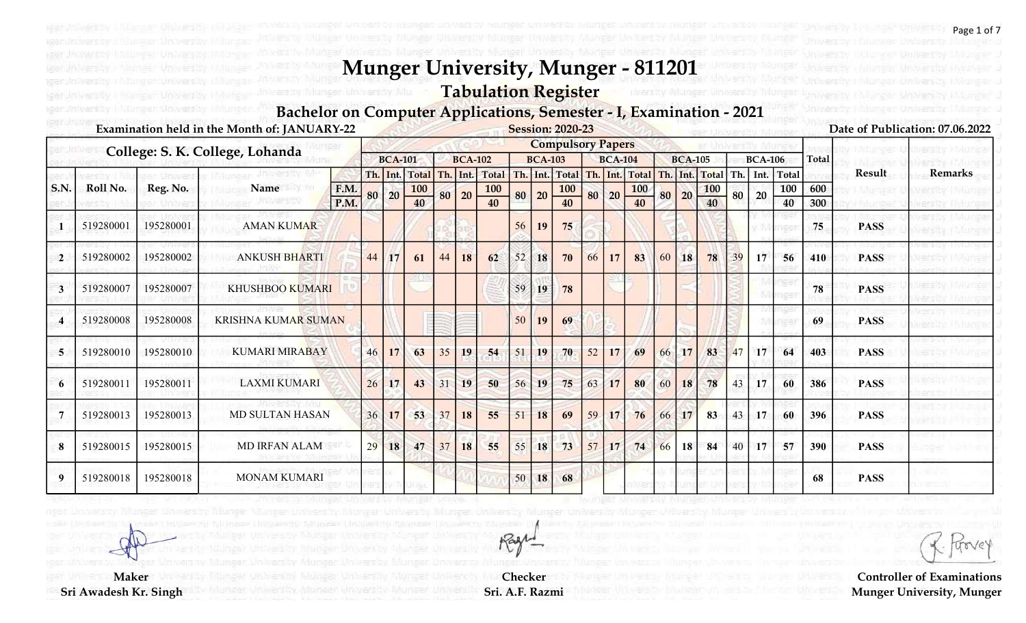### Tabulation Register

#### Bachelor on Computer Applications, Semester - I, Examination - 2021

|                |           |           | Examination held in the Month of: JANUARY-22 |              |    |                |                  |       |                |                  |    |                | <b>Session: 2020-23</b>  |    |                   |                |    |                |                  |     |                |              |              |             | Date of Publication: 07.06.2022 |
|----------------|-----------|-----------|----------------------------------------------|--------------|----|----------------|------------------|-------|----------------|------------------|----|----------------|--------------------------|----|-------------------|----------------|----|----------------|------------------|-----|----------------|--------------|--------------|-------------|---------------------------------|
|                |           |           | College: S. K. College, Lohanda              |              |    |                |                  |       |                |                  |    |                | <b>Compulsory Papers</b> |    |                   |                |    |                |                  |     |                |              |              |             |                                 |
|                |           |           |                                              |              |    | <b>BCA-101</b> |                  |       | <b>BCA-102</b> |                  |    | <b>BCA-103</b> |                          |    | <b>BCA-104</b>    |                |    | <b>BCA-105</b> |                  |     | <b>BCA-106</b> |              | <b>Total</b> |             |                                 |
|                |           |           |                                              |              |    |                | Th. Int. Total   |       | Th. Int.       | <b>Total</b>     |    |                | Th. Int. Total           |    |                   | Th. Int. Total |    | Th. Int.       | Total            | Th. | Int.           | <b>Total</b> |              | Result      | <b>Remarks</b>                  |
| S.N            | Roll No.  | Reg. No.  | Name                                         | F.M.<br>P.M. | 80 | 20             | <b>100</b><br>40 | 80 20 |                | <b>100</b><br>40 | 80 | 20             | <b>100</b><br>40         |    | $80 \mid 20 \mid$ | 100            | 80 | 20             | $\frac{100}{40}$ | 80  | 20             | 100          | 600          |             |                                 |
|                |           |           |                                              |              |    |                |                  |       |                |                  |    |                |                          |    |                   |                |    |                |                  |     |                | 40           | 300          |             |                                 |
|                | 519280001 | 195280001 | <b>AMAN KUMAR</b>                            |              |    |                |                  |       |                |                  | 56 | 19             | 75                       |    |                   |                |    |                |                  |     |                |              | 75           | <b>PASS</b> |                                 |
| $\overline{2}$ | 519280002 | 195280002 | <b>ANKUSH BHARTI</b>                         |              | 44 | 17             | 61               | 44    | 18             | 62               | 52 | 18             | 70                       | 66 | 17                | 83             | 60 | 18             | 78               | 39  | 17             | 56           | 410          | <b>PASS</b> |                                 |
|                | 519280007 | 195280007 | <b>KHUSHBOO KUMARI</b>                       |              |    |                |                  |       |                |                  | 59 | 19             | 78                       |    |                   |                |    |                |                  |     |                |              | 78           | <b>PASS</b> |                                 |
|                | 519280008 | 195280008 | <b>KRISHNA KUMAR SUMAN</b>                   |              |    |                |                  |       |                |                  | 50 | 19             | 69                       |    |                   |                |    |                |                  |     |                |              | 69           | <b>PASS</b> |                                 |
| 5              | 519280010 | 195280010 | <b>KUMARI MIRABAY</b>                        |              | 46 | 17             | 63               | 35    | 19             | 54               | 51 | 19             | 70                       | 52 | 17                | 69             | 66 | 17             | 83               | 47  | 17             | 64           | 403          | <b>PASS</b> |                                 |
|                | 519280011 | 195280011 | <b>LAXMI KUMARI</b>                          |              | 26 | 17             | 43               | 31    | 19             | 50               | 56 | 19             | 75                       | 63 | 17                | 80             | 60 | 18             | 78               | 43  | 17             | 60           | 386          | <b>PASS</b> |                                 |
|                | 519280013 | 195280013 | <b>MD SULTAN HASAN</b>                       |              | 36 | 17             | 53               | 37    | 18             | 55               | 51 | 18             | 69                       | 59 | 17                | 76             | 66 | 17             | 83               | 43  | 17             | 60           | 396          | <b>PASS</b> |                                 |
| 8              | 519280015 | 195280015 | <b>MD IRFAN ALAM</b>                         |              | 29 | 18             | 47               | 37    | 18             | 55               | 55 | 18             | 73                       | 57 | 17                | 74             | 66 | 18             | 84               | 40  | 17             | 57           | 390          | <b>PASS</b> |                                 |
|                | 519280018 | 195280018 | <b>MONAM KUMARI</b>                          |              |    |                |                  |       |                |                  | 50 | 18             | 68                       |    |                   |                |    |                |                  |     |                |              | 68           | <b>PASS</b> |                                 |

Controller of Examinations Munger University, Munger

**Maker** Sri Awadesh Kr. Singh

Checker Sri. A.F. Razmi

Rage

Page 1 of 7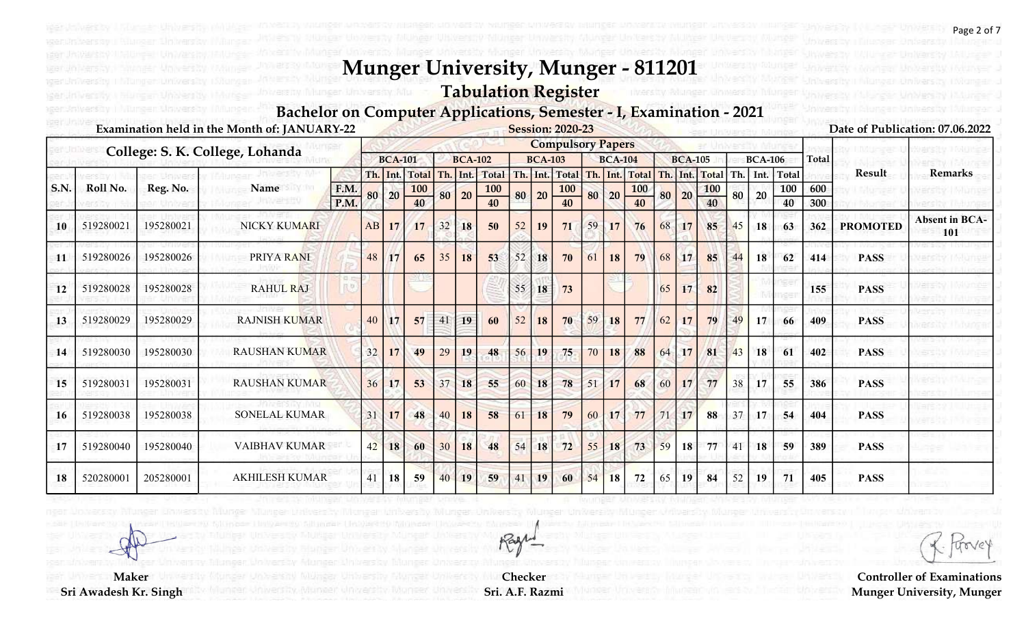### Tabulation Register

#### Bachelor on Computer Applications, Semester - I, Examination - 2021

|             |           |           | Examination held in the Month of: JANUARY-22 |      |    |                |                              |     |                |                          |    |                | <b>Session: 2020-23</b>      |        |                |                                  |     |                |                  |     |                |              |              |                 | Date of Publication: 07.06.2022 |
|-------------|-----------|-----------|----------------------------------------------|------|----|----------------|------------------------------|-----|----------------|--------------------------|----|----------------|------------------------------|--------|----------------|----------------------------------|-----|----------------|------------------|-----|----------------|--------------|--------------|-----------------|---------------------------------|
|             |           |           | College: S. K. College, Lohanda              |      |    |                |                              |     |                |                          |    |                | <b>Compulsory Papers</b>     |        |                |                                  |     |                |                  |     |                |              |              |                 |                                 |
|             |           |           |                                              |      |    | <b>BCA-101</b> |                              |     | <b>BCA-102</b> |                          |    | <b>BCA-103</b> |                              |        | <b>BCA-104</b> |                                  |     | <b>BCA-105</b> |                  |     | <b>BCA-106</b> |              | <b>Total</b> |                 |                                 |
| <b>S.N.</b> | Roll No.  | Reg. No.  | Name                                         | F.M. |    |                | Th. Int. Total<br><b>100</b> | Th. |                | Int. Total<br><b>100</b> |    |                | Th. Int. Total<br><b>100</b> |        |                | Th. Int. Total Th.<br><b>100</b> |     | Int.           | Total            | Th. | l Int.         | Total<br>100 | 600          | Result          | <b>Remarks</b>                  |
|             |           |           |                                              | P.M. | 80 | 20             | 40                           | 80  | 20             | 40                       | 80 | 20             | 40                           |        | 80 20          | 40                               | 80  | 20             | $\frac{100}{40}$ | 80  | 20             | 40           | 300          |                 |                                 |
| 10          | 519280021 | 195280021 | NICKY KUMARI                                 |      | AB | 17             | 17                           | 32  | 18             | 50                       | 52 | 19             | 71                           | 59     | 17             | 76                               | 68  | 17             | 85               | 45  | 18             | 63           | 362          | <b>PROMOTED</b> | <b>Absent in BCA-</b><br>101    |
| 11          | 519280026 | 195280026 | PRIYA RANI                                   |      | 48 | <b>17</b>      | 65                           | 35  | 18             | 53                       | 52 | 18             | 70                           | 61     | 18             | 79                               | 68  | 17             | 85               | 44  | 18             | 62           | 414          | <b>PASS</b>     |                                 |
| 12          | 519280028 | 195280028 | <b>RAHUL RAJ</b>                             |      |    |                |                              |     |                |                          | 55 | 18             | 73                           |        |                |                                  | 65  | 17             | 82               |     |                |              | 155          | <b>PASS</b>     |                                 |
| 13          | 519280029 | 195280029 | <b>RAJNISH KUMAR</b>                         |      | 40 | 17             | 57                           | 41  | 19             | 60                       | 52 | <b>18</b>      | 70                           | 59     | 18             | 77                               | 62  | 17             | 79               | 49  | 17             | 66           | 409          | <b>PASS</b>     |                                 |
| 14          | 519280030 | 195280030 | <b>RAUSHAN KUMAR</b>                         |      | 32 | 17             | 49                           | 29  | 19             | 48                       | 56 | 19             | 75                           | 70     | 18             | 88                               | 64  | 17             | 81               | 43  | 18             | 61           | 402          | <b>PASS</b>     |                                 |
| 15          | 519280031 | 195280031 | <b>RAUSHAN KUMAR</b>                         |      | 36 | 17             | 53                           | 37  | 18             | 55                       | 60 | 18             | 78                           | 51     | 17             | 68                               | 60  | 17             | 77               | 38  | 17             | 55           | 386          | <b>PASS</b>     |                                 |
| 16          | 519280038 | 195280038 | <b>SONELAL KUMAR</b>                         |      | 31 | 17             | 48                           | 40  | 18             | 58                       | 61 | 18             | 79                           | 60     | 17             | 77                               |     | 17             | 88               | 37  | 17             | 54           | 404          | <b>PASS</b>     |                                 |
| 17          | 519280040 | 195280040 | <b>VAIBHAV KUMAR</b>                         |      | 42 | 18             | 60                           | 30  | 18             | 48                       | 54 | 18             | 72                           | $55 -$ | 18             | 73                               | 59  | 18             | 77               | 41  | 18             | 59           | 389          | <b>PASS</b>     |                                 |
| 18          | 520280001 | 205280001 | <b>AKHILESH KUMAR</b>                        |      | 41 | 18             | 59                           | 40  | 19             | 59                       | 41 | 19             | 60                           | 54     | 18             | 72                               | 65. | 19             | 84               | 52  | 19             | 71           | 405          | <b>PASS</b>     |                                 |

Checker Sri. A.F. Razmi

Rage

**Maker** 

Sri Awadesh Kr. Singh

Page 2 of 7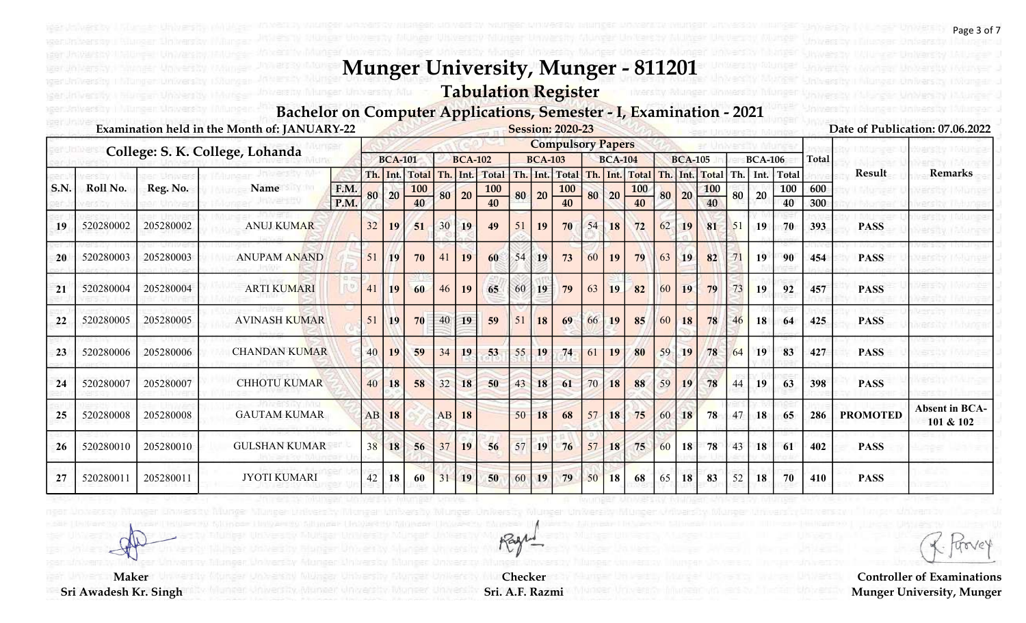Tabulation Register

#### Bachelor on Computer Applications, Semester - I, Examination - 2021

|             |           |           | Examination held in the Month of: JANUARY-22 |              |    |                |                  |     |                |                          |    |                | <b>Session: 2020-23</b>  |    |                |                              |     |                |            |     |                |              |              |                 | Date of Publication: 07.06.2022    |
|-------------|-----------|-----------|----------------------------------------------|--------------|----|----------------|------------------|-----|----------------|--------------------------|----|----------------|--------------------------|----|----------------|------------------------------|-----|----------------|------------|-----|----------------|--------------|--------------|-----------------|------------------------------------|
|             |           |           | College: S. K. College, Lohanda              |              |    |                |                  |     |                |                          |    |                | <b>Compulsory Papers</b> |    |                |                              |     |                |            |     |                |              |              |                 |                                    |
|             |           |           |                                              |              |    | <b>BCA-101</b> |                  |     | <b>BCA-102</b> |                          |    | <b>BCA-103</b> |                          |    | <b>BCA-104</b> |                              |     | <b>BCA-105</b> |            |     | <b>BCA-106</b> |              | <b>Total</b> |                 |                                    |
| <b>S.N.</b> | Roll No.  | Reg. No.  | Name                                         |              |    |                | Th. Int. Total   | Th. |                | Int. Total<br><b>100</b> |    |                | Th. Int. Total           |    |                | Th. Int. Total<br><b>100</b> | Th. | Int.           | Total      | Th. | Int.           | Total<br>100 | 600          | Result          | <b>Remarks</b>                     |
|             |           |           |                                              | F.M.<br>P.M. | 80 | 20             | <b>100</b><br>40 | 80  | 20             | 40                       | 80 | 20             | <b>100</b><br>40         |    | 80 20          | 40                           | 80  | 20             | <b>100</b> | 80  | 20             | 40           | 300          |                 |                                    |
| 19          | 520280002 | 205280002 | <b>ANUJ KUMAR</b>                            |              | 32 | 19             | 51               | 30  | 19             | 49                       | 51 | 19             | 70                       | 54 | 18             | 72                           | 62  | 19             | 81         | 51  | 19             | 70           | 393          | <b>PASS</b>     |                                    |
| 20          | 520280003 | 205280003 | <b>ANUPAM ANAND</b>                          |              | 51 | <b>19</b>      | 70               | 41  | 19             | 60                       | 54 | 19             | 73                       | 60 | <b>19</b>      | 79                           | 63  | 19             | 82         |     | 19             | 90           | 454          | <b>PASS</b>     |                                    |
| 21          | 520280004 | 205280004 | <b>ARTI KUMARI</b>                           |              | 41 | 19             | 60               | 46  | 19             | 65                       | 60 | 19             | 79                       | 63 | 19             | 82                           | 60  | 19             | 79         |     | 19             | 92           | 457          | <b>PASS</b>     |                                    |
| 22          | 520280005 | 205280005 | <b>AVINASH KUMAR</b>                         |              | 51 | 19             | 70               | 40  | 19             | 59                       | 51 | <b>18</b>      | 69                       | 66 | 19             | 85                           | 60  | 18             | 78         | 46  | 18             | 64           | 425          | <b>PASS</b>     |                                    |
| 23          | 520280006 | 205280006 | <b>CHANDAN KUMAR</b>                         |              | 40 | 19             | 59               | 34  | 19             | 53                       | 55 | 19             | 74                       | 61 | 19             | 80                           | 59  | <b>19</b>      | 78         | 64  | 19             | 83           | 427          | <b>PASS</b>     |                                    |
| 24          | 520280007 | 205280007 | <b>CHHOTU KUMAR</b>                          |              | 40 | 18             | 58               | 32  | 18             | 50                       | 43 | 18             | 61                       | 70 | 18             | 88                           | 59  | 19             | 78         | 44  | 19             | 63           | 398          | <b>PASS</b>     |                                    |
| 25          | 520280008 | 205280008 | <b>GAUTAM KUMAR</b>                          |              | AB | 18             |                  | AB  | 18             |                          | 50 | 18             | 68                       | 57 | 18             | 75                           | 60  | 18             | 78         | 47  | 18             | 65           | 286          | <b>PROMOTED</b> | <b>Absent in BCA-</b><br>101 & 102 |
| 26          | 520280010 | 205280010 | <b>GULSHAN KUMAR</b>                         |              | 38 | 18             | 56               | 37  | 19             | 56                       | 57 | 19             | 76                       | 57 | 18             | 75                           | 60  | 18             | 78         | 43  | <b>18</b>      | 61           | 402          | <b>PASS</b>     |                                    |
| 27          | 52028001  | 205280011 | JYOTI KUMARI                                 |              | 42 | 18             | 60               | 31  | 19             | 50                       | 60 | 19             | 79                       | 50 | 18             | 68                           | 65  | 18             | 83         | 52  | 18             | 70           | 410          | <b>PASS</b>     |                                    |

Controller of Examinations Munger University, Munger

**Maker** Sri Awadesh Kr. Singh

Checker Sri. A.F. Razmi

Rage

Page 3 of 7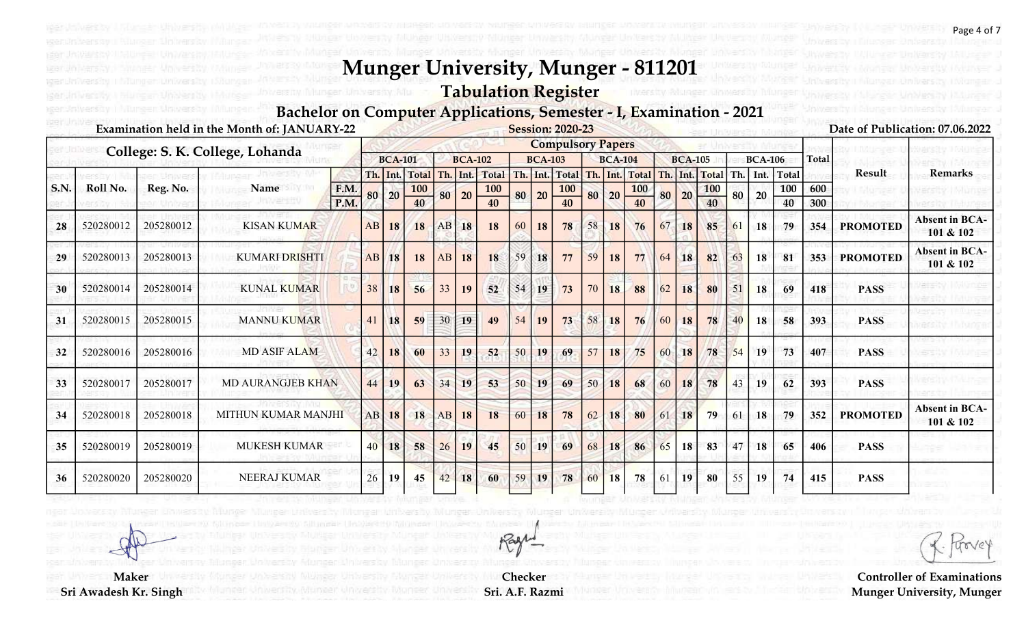Tabulation Register

Bachelor on Computer Applications, Semester - I, Examination - 2021

|     |           |           | Examination held in the Month of: JANUARY-22 |      |    |                |                              |     |                |                          |     |                | <b>Session: 2020-23</b>  |    |                 |                       |    |                |              |     |                |                   |              |                 | Date of Publication: 07.06.2022    |
|-----|-----------|-----------|----------------------------------------------|------|----|----------------|------------------------------|-----|----------------|--------------------------|-----|----------------|--------------------------|----|-----------------|-----------------------|----|----------------|--------------|-----|----------------|-------------------|--------------|-----------------|------------------------------------|
|     |           |           | College: S. K. College, Lohanda              |      |    |                |                              |     |                |                          |     |                | <b>Compulsory Papers</b> |    |                 |                       |    |                |              |     |                |                   |              |                 |                                    |
|     |           |           |                                              |      |    | <b>BCA-101</b> |                              |     | <b>BCA-102</b> |                          |     | <b>BCA-103</b> |                          |    | <b>BCA-104</b>  |                       |    | <b>BCA-105</b> |              |     | <b>BCA-106</b> |                   | <b>Total</b> | Result          | <b>Remarks</b>                     |
| S.N | Roll No.  | Reg. No.  | Name                                         | F.M. |    |                | Th. Int. Total<br><b>100</b> | Th. |                | Int. Total<br><b>100</b> | Th. |                | Int. Total<br><b>100</b> |    |                 | Th. Int. Total<br>100 |    | Th. Int.       | Total<br>100 | Th. |                | Int. Total<br>100 | 600          |                 |                                    |
|     |           |           |                                              | P.M. | 80 | 20             | 40                           | 80  | 20             | 40                       | 80  | 20             | 40                       |    | 80 20           | 40                    | 80 | 20             | 40           | 80  | 20             | 40                | 300          |                 |                                    |
| 28  | 520280012 | 205280012 | <b>KISAN KUMAR</b>                           |      | AB | 18             | 18                           | AB  | 18             | 18                       | 60  | 18             | 78                       | 58 | 18              | 76                    | 67 | 18             | 85           | 61  | 18             | 79                | 354          | <b>PROMOTED</b> | <b>Absent in BCA-</b><br>101 & 102 |
| 29  | 520280013 | 205280013 | <b>KUMARI DRISHTI</b>                        |      | AB | 18             | 18                           | AB  | 18             | 18                       | 59  | 18             | 77                       | 59 | 18              | 77                    | 64 | <b>18</b>      | 82           | 63  | 18             | 81                | 353          | <b>PROMOTED</b> | <b>Absent in BCA-</b><br>101 & 102 |
| 30  | 520280014 | 205280014 | <b>KUNAL KUMAR</b>                           |      | 38 | 18             | 56                           | 33  | 19             | 52                       | 54  | 19             | 73                       | 70 | 18              | 88                    | 62 | 18             | 80           | 51  | 18             | 69                | 418          | <b>PASS</b>     |                                    |
| 31  | 520280015 | 205280015 | <b>MANNU KUMAR</b>                           |      | 41 | 18             | 59                           | 30  | 19             | 49                       | 54  | <b>19</b>      | 73                       | 58 | 18              | 76                    | 60 | 18             | 78           |     | 18             | 58                | 393          | <b>PASS</b>     |                                    |
| 32  | 520280016 | 205280016 | <b>MD ASIF ALAM</b>                          |      | 42 | 18             | 60                           | 33  | 19             | 52                       | 50  | 19             | 69                       | 57 | 18 <sup>1</sup> | 75                    | 60 | <b>18</b>      | 78           | 54  | 19             | 73                | 407          | <b>PASS</b>     |                                    |
| 33  | 520280017 | 205280017 | <b>MD AURANGJEB KHAN</b>                     |      | 44 | 19             | 63                           | 34  | 19             | 53                       | 50  | 19             | 69                       | 50 | 18              | 68                    | 60 | 18             | 78           | 43  | <b>19</b>      | 62                | 393          | <b>PASS</b>     |                                    |
| 34  | 520280018 | 205280018 | MITHUN KUMAR MANJHI                          |      | AB | 18             | 18                           | AB  | 18             | 18                       | 60  | 18             | 78                       | 62 | 18              | 80                    | 61 | 18             | 79           | 61  | 18             | 79                | 352          | <b>PROMOTED</b> | <b>Absent in BCA-</b><br>101 & 102 |
| 35  | 520280019 | 205280019 | <b>MUKESH KUMAR</b>                          |      | 40 | 18             | 58                           | 26  | 19             | 45                       | 50  | 19             | 69                       | 68 | 18              | 86                    | 65 | 18             | 83           | 47  | 18             | 65                | 406          | <b>PASS</b>     |                                    |
| 36  | 520280020 | 205280020 | NEERAJ KUMAR                                 |      | 26 | 19             | 45                           | 42  | 18             | 60                       | 59  | 19             | 78                       | 60 | 18              | 78                    | 61 | 19             | 80           | 55  | 19             | 74                | 415          | <b>PASS</b>     |                                    |

Controller of Examinations Munger University, Munger

**Maker** Sri Awadesh Kr. Singh

Checker Sri. A.F. Razmi

Rage

Page 4 of 7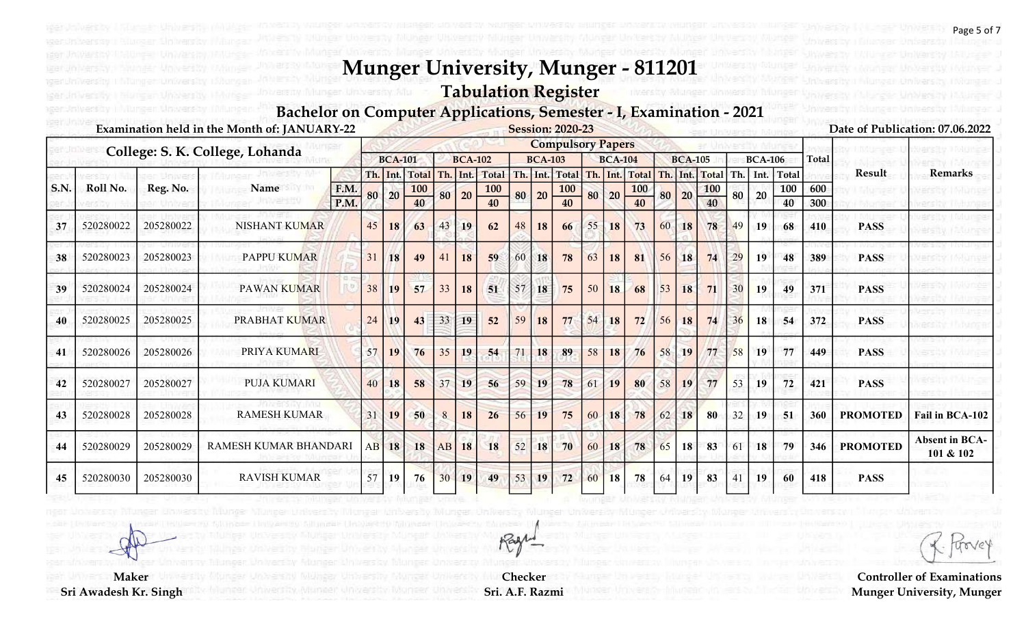Tabulation Register

#### Bachelor on Computer Applications, Semester - I, Examination - 2021

|             |           |           | Examination held in the Month of: JANUARY-22 |    |                |                            |     |                |                          |    |                | <b>Session: 2020-23</b>      |    |                |              |     |                |                  |     |                |                     |              |                 | Date of Publication: 07.06.2022    |
|-------------|-----------|-----------|----------------------------------------------|----|----------------|----------------------------|-----|----------------|--------------------------|----|----------------|------------------------------|----|----------------|--------------|-----|----------------|------------------|-----|----------------|---------------------|--------------|-----------------|------------------------------------|
|             |           |           | College: S. K. College, Lohanda              |    |                |                            |     |                |                          |    |                | <b>Compulsory Papers</b>     |    |                |              |     |                |                  |     |                |                     |              |                 |                                    |
|             |           |           |                                              |    | <b>BCA-101</b> |                            |     | <b>BCA-102</b> |                          |    | <b>BCA-103</b> |                              |    | <b>BCA-104</b> |              |     | <b>BCA-105</b> |                  |     | <b>BCA-106</b> |                     | <b>Total</b> |                 |                                    |
| <b>S.N.</b> | Roll No.  | Reg. No.  | Name<br>F.M.                                 |    | Th. Int.       | <b>Total</b><br><b>100</b> | Th. |                | Int. Total<br><b>100</b> |    |                | Th. Int. Total<br><b>100</b> |    | $Th.$ Int.     | Total<br>100 | Th. | Int.           | Total            | Th. | Int.           | <b>Total</b><br>100 | 600          | Result          | <b>Remarks</b>                     |
|             |           |           | P.M.                                         | 80 | 20             | 40                         | 80  | 20             | 40                       | 80 | 20             | 40                           |    | 80 20          | 40           | 80  | 20             | <b>100</b><br>40 | 80  | 20             | 40                  | 300          |                 |                                    |
| 37          | 520280022 | 205280022 | <b>NISHANT KUMAR</b>                         | 45 | 18             | 63                         | 43  | 19             | 62                       | 48 | 18             | 66                           | 55 | <b>18</b>      | 73           | 60  | 18             | 78               | 49  | 19             | 68                  | 410          | <b>PASS</b>     |                                    |
| 38          | 520280023 | 205280023 | <b>PAPPU KUMAR</b>                           | 31 | 18             | 49                         | 41  | 18             | 59                       | 60 | 18             | 78                           | 63 | 18             | 81           | 56  | <b>18</b>      | 74               | 29  | 19             | 48                  | 389          | <b>PASS</b>     |                                    |
| 39          | 520280024 | 205280024 | PAWAN KUMAR                                  | 38 | <b>19</b>      | 57                         | 33  | 18             | 51                       | 57 | 18             | 75                           | 50 | 18             | 68           | 53  | 18             | 71               |     | 19             | 49                  | 371          | <b>PASS</b>     |                                    |
| 40          | 520280025 | 205280025 | PRABHAT KUMAR                                | 24 | 19             | 43                         | 33  | 19             | 52                       | 59 | <b>18</b>      | 77                           | 54 | 18             | 72           | 56  | 18             | 74               | 36  | 18             | 54                  | 372          | <b>PASS</b>     |                                    |
| 41          | 520280026 | 205280026 | PRIYA KUMARI                                 | 57 | 19             | 76                         | 35  | 19             | 54                       | 71 | 18             | 89                           | 58 | 18             | 76           | 58  | 19             | 77               | 58  | 19             | 77                  | 449          | <b>PASS</b>     |                                    |
| 42          | 520280027 | 205280027 | <b>PUJA KUMARI</b>                           | 40 | 18             | 58                         | 37  | 19             | 56                       | 59 | 19             | 78                           | 61 | 19             | 80           | 58  | 19             | 77               | 53  | 19             | 72                  | 421          | <b>PASS</b>     |                                    |
| 43          | 520280028 | 205280028 | <b>RAMESH KUMAR</b>                          | 31 | 19             | 50                         | 8   | 18             | 26                       | 56 | 19             | 75                           | 60 | 18             | 78           | 62  | 18             | 80               | 32  | 19             | 51                  | 360          | <b>PROMOTED</b> | Fail in BCA-102                    |
| 44          | 520280029 | 205280029 | RAMESH KUMAR BHANDARI                        | AB | 18             | 18                         | AB  | 18             | 18                       | 52 | 18             | 70                           | 60 | 18             | 78           | 65  | 18             | 83               | -61 | 18             | 79                  | 346          | <b>PROMOTED</b> | <b>Absent in BCA-</b><br>101 & 102 |
| 45          | 520280030 | 205280030 | <b>RAVISH KUMAR</b>                          | 57 | 19             | 76                         | 30  | 19             | 49                       | 53 | 19             | 72                           | 60 | 18             | 78           |     | 19             | 83               |     | 19             | 60                  | 418          | <b>PASS</b>     |                                    |

Checker Sri. A.F. Razmi

Rage

**Maker** 

Sri Awadesh Kr. Singh

Page 5 of 7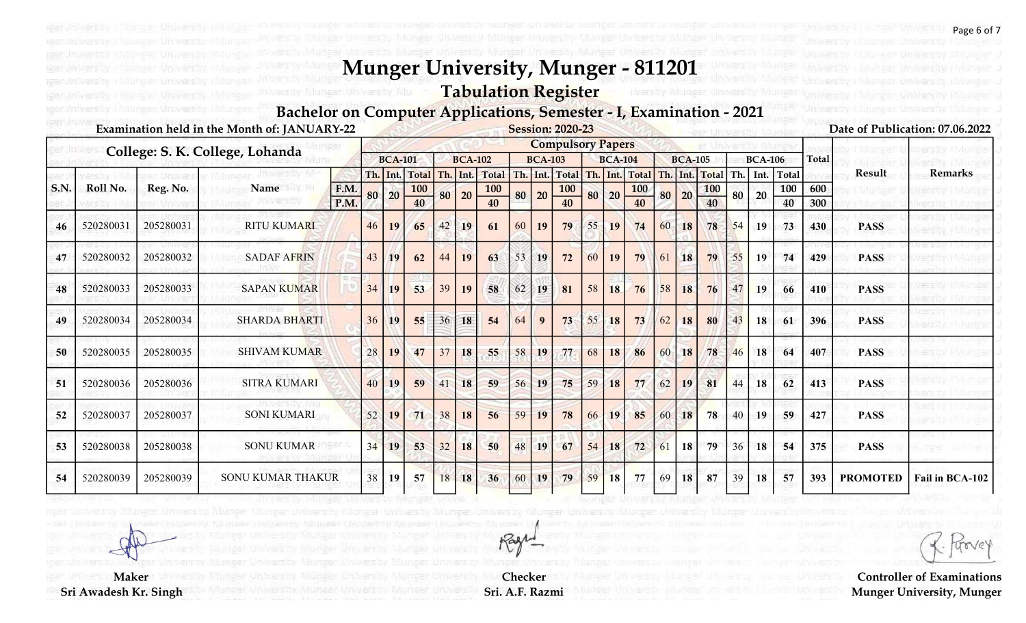Tabulation Register

#### Bachelor on Computer Applications, Semester - I, Examination - 2021

|             |           |           | Examination held in the Month of: JANUARY-22 |      |    |                |                            |     |                |                          |    |                 | <b>Session: 2020-23</b>      |    |                |                         |    |                |                     |     |                |              |              |                 | Date of Publication: 07.06.2022 |
|-------------|-----------|-----------|----------------------------------------------|------|----|----------------|----------------------------|-----|----------------|--------------------------|----|-----------------|------------------------------|----|----------------|-------------------------|----|----------------|---------------------|-----|----------------|--------------|--------------|-----------------|---------------------------------|
|             |           |           | College: S. K. College, Lohanda              |      |    |                |                            |     |                |                          |    |                 | <b>Compulsory Papers</b>     |    |                |                         |    |                |                     |     |                |              |              |                 |                                 |
|             |           |           |                                              |      |    | <b>BCA-101</b> |                            |     | <b>BCA-102</b> |                          |    | <b>BCA-103</b>  |                              |    | <b>BCA-104</b> |                         |    | <b>BCA-105</b> |                     |     | <b>BCA-106</b> |              | <b>Total</b> |                 |                                 |
| <b>S.N.</b> | Roll No.  | Reg. No.  | Name                                         | F.M. |    | Th. Int.       | <b>Total</b><br><b>100</b> | Th. |                | Int. Total<br><b>100</b> |    |                 | Th. Int. Total<br><b>100</b> |    | $Th.$ Int.     | Total Th.<br><b>100</b> |    | Int.           | Total<br><b>100</b> | Th. | Int.           | Total<br>100 | 600          | Result          | <b>Remarks</b>                  |
|             |           |           |                                              | P.M. | 80 | 20             | 40                         | 80  | 20             | 40                       | 80 | 20              | 40                           |    | 80 20          | 40                      | 80 | 20             | 40                  | 80  | 20             | 40           | 300          |                 |                                 |
| 46          | 520280031 | 205280031 | <b>RITU KUMARI</b>                           |      | 46 | 19             | 65                         | 42  | 19             | 61                       | 60 | 19              | 79                           | 55 | <b>19</b>      | 74                      | 60 | 18             | 78                  | 54  | 19             | 73           | 430          | <b>PASS</b>     |                                 |
| 47          | 520280032 | 205280032 | <b>SADAF AFRIN</b>                           |      | 43 | 19             | 62                         | 44  | 19             | 63                       | 53 | 19              | 72                           | 60 | 19             | 79                      | 61 | <b>18</b>      | 79                  | 55  | 19             | 74           | 429          | <b>PASS</b>     |                                 |
| 48          | 520280033 | 205280033 | <b>SAPAN KUMAR</b>                           |      | 34 | <b>19</b>      | 53                         | 39  | 19             | 58                       | 62 | 19 <sup>°</sup> | 81                           | 58 | 18             | 76                      | 58 | 18             | 76                  | 47  | 19             | 66           | 410          | <b>PASS</b>     |                                 |
| 49          | 520280034 | 205280034 | <b>SHARDA BHARTI</b>                         |      | 36 | 19             | 55                         | 36  | 18             | 54                       | 64 | 9               | 73                           | 55 | 18             | 73                      |    | 18             | 80                  | 43  | 18             | 61           | 396          | <b>PASS</b>     |                                 |
| 50          | 520280035 | 205280035 | <b>SHIVAM KUMAR</b>                          |      | 28 | 19             | 47                         | 37  | 18             | 55                       | 58 | 19              | 77                           | 68 | 18             | 86                      | 60 | <b>18</b>      | 78                  | 46  | 18             | 64           | 407          | <b>PASS</b>     |                                 |
| 51          | 520280036 | 205280036 | <b>SITRA KUMARI</b>                          |      | 40 | 19             | 59                         | 41  | 18             | 59                       | 56 | 19              | 75                           | 59 | 18             | 77                      | 62 | 19             | 81                  | 44  | 18             | 62           | 413          | <b>PASS</b>     |                                 |
| 52          | 520280037 | 205280037 | <b>SONI KUMARI</b>                           |      | 52 | 19             | 71                         | 38  | 18             | 56                       | 59 | 19              | 78                           | 66 | 19             | 85                      | 60 | 18             | 78                  | 40  | 19             | 59           | 427          | <b>PASS</b>     |                                 |
| 53          | 520280038 | 205280038 | <b>SONU KUMAR</b>                            |      | 34 | 19             | 53                         | 32  | 18             | 50                       | 48 | 19              | 67                           | 54 | 18             | 72                      | 61 | 18             | 79                  | 36  | 18             | 54           | 375          | <b>PASS</b>     |                                 |
| 54          | 520280039 | 205280039 | SONU KUMAR THAKUR                            |      | 38 | 19             | 57                         | 18  | 18             | 36                       | 60 | 19              | 79                           | 59 | 18             | 77                      | 69 | 18             | 87                  | 39  | 18             | 57           | 393          | <b>PROMOTED</b> | Fail in BCA-102                 |

Rage

Checker Sri. A.F. Razmi

**Maker** 

Sri Awadesh Kr. Singh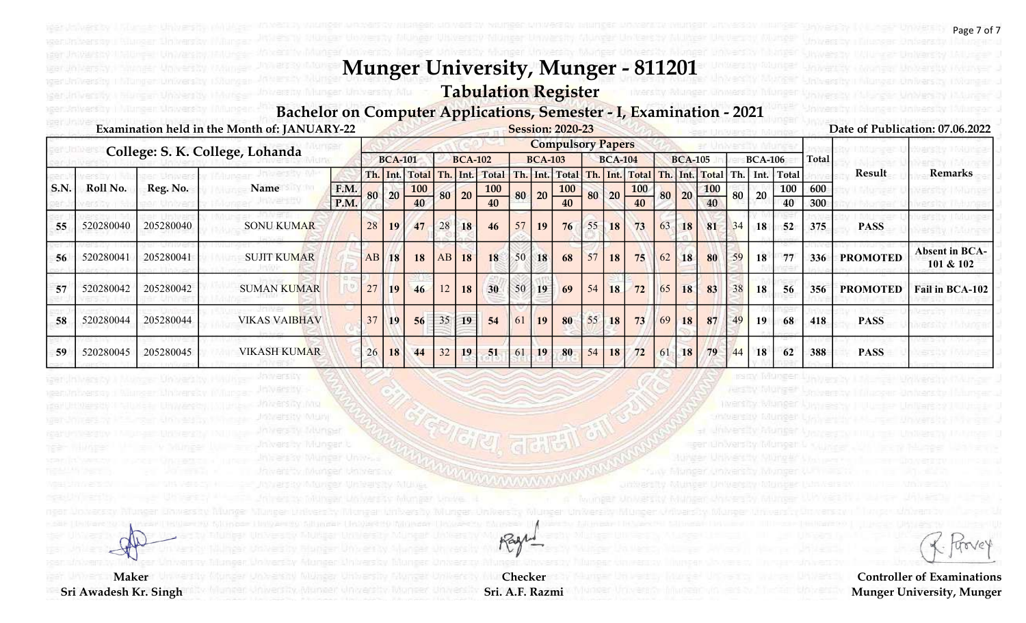#### Tabulation Register

un versay.

**JOWERS IN** 

Inversity into **MARKETSRY WILLIN** 

#### Bachelor on Computer Applications, Semester - I, Examination - 2021

|             |           |           | Examination held in the Month of: JANUARY-22 |      |    |                 |                |                  |                 |                 |    |                | <b>Session: 2020-23</b>  |    |                |                    |    |                |                  |    |                |       |              |                 | Date of Publication: 07.06.2022    |
|-------------|-----------|-----------|----------------------------------------------|------|----|-----------------|----------------|------------------|-----------------|-----------------|----|----------------|--------------------------|----|----------------|--------------------|----|----------------|------------------|----|----------------|-------|--------------|-----------------|------------------------------------|
|             |           |           | College: S. K. College, Lohanda              |      |    |                 |                |                  |                 |                 |    |                | <b>Compulsory Papers</b> |    |                |                    |    |                |                  |    |                |       |              |                 |                                    |
|             |           |           |                                              |      |    | <b>BCA-101</b>  |                |                  | <b>BCA-102</b>  |                 |    | <b>BCA-103</b> |                          |    | <b>BCA-104</b> |                    |    | <b>BCA-105</b> |                  |    | <b>BCA-106</b> |       | <b>Total</b> |                 |                                    |
|             |           |           |                                              |      |    |                 | Th. Int. Total | Th.              |                 | Int. Total      |    |                | Th. Int. Total           |    |                | Th. Int. Total Th. |    |                | . Int. Total Th. |    | Int.           | Total |              | Result          | <b>Remarks</b>                     |
| <b>S.N.</b> | Roll No.  | Reg. No.  | Name                                         | F.M. | 80 | 20              | <b>100</b>     | 80               | 20 <sup>2</sup> | <b>100</b>      | 80 | 20             | <b>100</b>               | 80 | 20             | <b>100</b>         | 80 | 20             | <b>100</b>       | 80 | 20             | 100   | 600          |                 |                                    |
|             |           |           |                                              | P.M. |    |                 | 40             |                  |                 | 40              |    |                | 40                       |    |                | 40                 |    |                | 40               |    |                | 40    | 300          |                 |                                    |
| 55          | 520280040 | 205280040 | <b>SONU KUMAR</b>                            |      | 28 | 19 <sup>°</sup> | 47             | 28               | 18              | 46              | 57 | 19             | 76                       | 55 | <b>18</b>      | 73                 | 63 | 18             | 81               | 34 | 18             | 52    | 375          | <b>PASS</b>     |                                    |
| 56          | 520280041 | 205280041 | <b>SUJIT KUMAR</b>                           |      | AB | <b>18</b>       | 18             | AB               | 18              | 18              | 50 | 18             | 68                       | 57 | 18             | 75                 | 62 | <b>18</b>      | 80               | 59 | 18             | 77    | 336          | <b>PROMOTED</b> | <b>Absent in BCA-</b><br>101 & 102 |
| 57          | 520280042 | 205280042 | <b>SUMAN KUMAR</b>                           |      | 27 | <b>19</b>       | 46             | 12               | 18              | 30 <sup>°</sup> | 50 | 19             | 69                       | 54 | 18             | 72                 | 65 | 18             | 83               | 38 | 18             | 56    | 356          | <b>PROMOTED</b> | Fail in BCA-102                    |
| 58          | 520280044 | 205280044 | <b>VIKAS VAIBHAV</b>                         |      | 37 | <b>19</b>       | 56             | $\vert 35 \vert$ | 19              | 54              | 61 | 19             | 80                       | 55 | <b>18</b>      | 73                 | 69 | 18             | 87               | 49 | 19             | 68    | 418          | <b>PASS</b>     |                                    |
| 59          | 520280045 | 205280045 | <b>VIKASH KUMAR</b>                          |      | 26 | 18              | 44             | 32               | 19              | 51              | 61 | 19             | 80                       | 54 | 18             | 72                 | 61 | <b>18</b>      | 79               | 44 | 18             | 62    | 388          | <b>PASS</b>     |                                    |

Checker Sri. A.F. Razmi

Rage

**LARACTER AVENUE** 

**Maker** 

Sri Awadesh Kr. Singh

trove

Page 7 of 7

Controller of Examinations Munger University, Munger

mwanzay Munge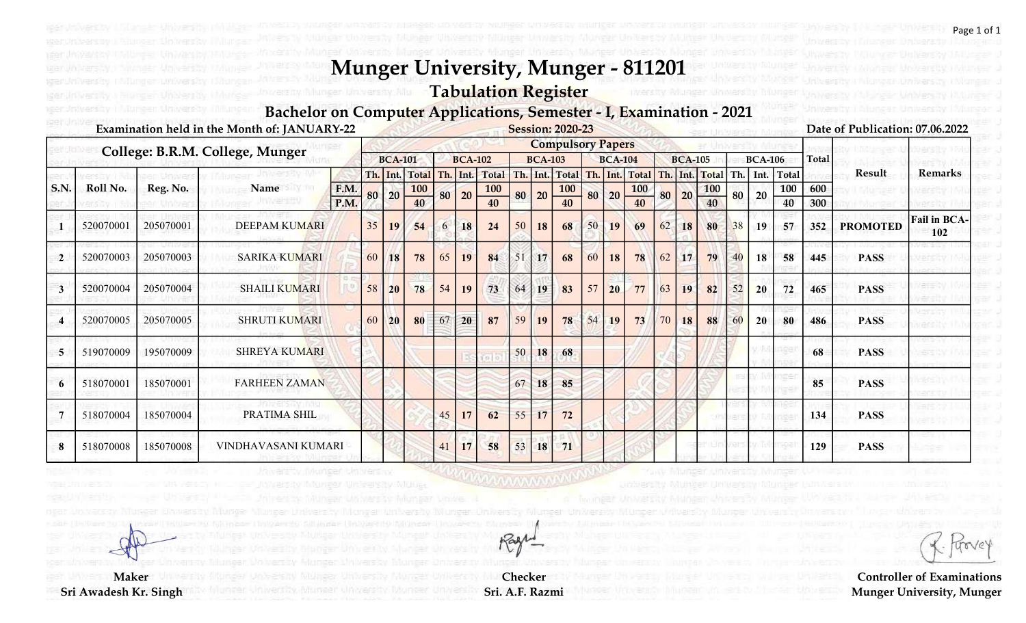Tabulation Register

rgan ilin vərsity.

Bachelor on Computer Applications, Semester - I, Examination - 2021

|                |           |           | Examination held in the Month of: JANUARY-22 |      |    |                |                |    |                 |              |    |                | <b>Session: 2020-23</b>  |    |                |            |    |                |                      |    |                |       |              | Date of Publication: 07.06.2022 |                            |
|----------------|-----------|-----------|----------------------------------------------|------|----|----------------|----------------|----|-----------------|--------------|----|----------------|--------------------------|----|----------------|------------|----|----------------|----------------------|----|----------------|-------|--------------|---------------------------------|----------------------------|
|                |           |           | College: B.R.M. College, Munger              |      |    |                |                |    |                 |              |    |                | <b>Compulsory Papers</b> |    |                |            |    |                |                      |    |                |       |              |                                 |                            |
|                |           |           |                                              |      |    | <b>BCA-101</b> |                |    | <b>BCA-102</b>  |              |    | <b>BCA-103</b> |                          |    | <b>BCA-104</b> |            |    | <b>BCA-105</b> |                      |    | <b>BCA-106</b> |       | <b>Total</b> |                                 |                            |
|                |           |           |                                              |      |    |                | Th. Int. Total |    | Th. Int.        | <b>Total</b> |    |                | Th. Int. Total Th. Int.  |    |                |            |    |                | Total Th. Int. Total |    | Th. Int.       | Total |              | Result                          | <b>Remarks</b>             |
| S.N.           | Roll No.  | Reg. No.  | Name                                         | F.M. |    | 80 20          | <b>100</b>     | 80 | 20              | <b>100</b>   |    | $80$ 20 -      | <b>100</b>               | 80 | 20             | <b>100</b> | 80 | 20             | <b>100</b>           | 80 | 20             | 100   | 600          |                                 |                            |
|                |           |           |                                              | P.M. |    |                | 40             |    |                 |              |    |                | 40                       |    |                | 40         |    |                | 40                   |    |                | 40    | 300          |                                 |                            |
|                | 520070001 | 205070001 | <b>DEEPAM KUMARI</b>                         |      | 35 | 19             | 54             | 6  | 18              | 24           | 50 | 18             | 68                       | 50 | 19             | 69         | 62 | 18             | 80                   | 38 | 19             | 57    | 352          | <b>PROMOTED</b>                 | <b>Fail in BCA-</b><br>102 |
| $\overline{2}$ | 520070003 | 205070003 | <b>SARIKA KUMARI</b>                         |      | 60 | 18             | 78             | 65 | 19              | 84           | 51 | 17             | 68                       | 60 | <b>18</b>      | 78         | 62 | 17             | 79                   | 40 | 18             | 58    | 445          | <b>PASS</b>                     |                            |
|                | 520070004 | 205070004 | <b>SHAILI KUMARI</b>                         |      | 58 | 20             | 78             | 54 | 19              | 73           | 64 | 19             | 83                       | 57 | 20             | 77         | 63 | 19             | 82                   | 52 | 20             | 72    | 465          | <b>PASS</b>                     |                            |
|                | 520070005 | 205070005 | <b>SHRUTI KUMARI</b>                         |      | 60 | <b>20</b>      | 80             | 67 | 20 <sub>1</sub> | 87           | 59 | 19             | 78                       | 54 | 19             | 73         | 70 | 18             | 88                   | 60 | 20             | 80    | 486          | <b>PASS</b>                     |                            |
| 5              | 519070009 | 195070009 | <b>SHREYA KUMARI</b>                         |      |    |                |                |    |                 |              | 50 | 18             | 68                       |    |                |            |    |                |                      |    |                |       | 68           | <b>PASS</b>                     |                            |
| 6              | 518070001 | 185070001 | <b>FARHEEN ZAMAN</b>                         |      |    |                |                |    |                 |              | 67 | 18             | 85                       |    |                |            |    |                |                      |    |                |       | 85           | <b>PASS</b>                     |                            |
|                | 518070004 | 185070004 | PRATIMA SHIL                                 |      |    |                |                | 45 | 17              | 62           | 55 | 17             | 72                       |    |                |            |    |                |                      |    |                |       | 134          | <b>PASS</b>                     |                            |
| 8              | 518070008 | 185070008 | VINDHAVASANI KUMARI                          |      |    |                |                | 41 | 17              | 58           | 53 | 18             | 71                       |    |                |            |    |                |                      |    |                |       | 129          | <b>PASS</b>                     |                            |

**Maker** Sri Awadesh Kr. Singh

Checker Sri. A.F. Razmi

Rage

Controller of Examinations Munger University, Munger

Page 1 of 1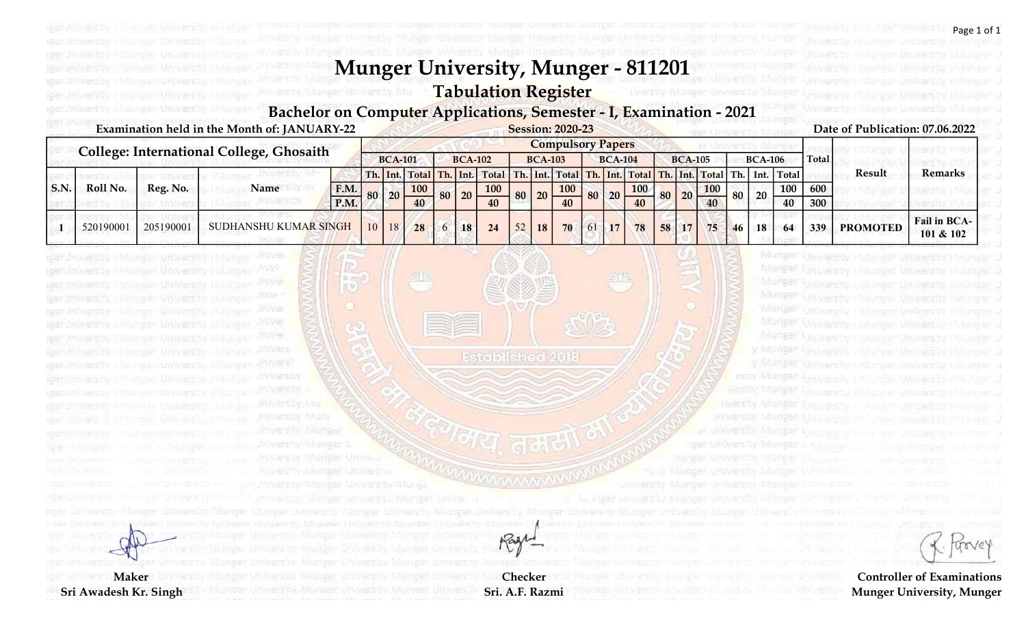### Tabulation Register

#### Bachelor on Computer Applications, Semester - I, Examination - 2021

|     |           |           | Examination held in the Month of: JANUARY-22    |      |    |                 |                |                 |                                                                  |    |                | <b>Session: 2020-23</b>  |                |            |    |                 |            |      |                |            |       | Date of Publication: 07.06.2022 |                                  |
|-----|-----------|-----------|-------------------------------------------------|------|----|-----------------|----------------|-----------------|------------------------------------------------------------------|----|----------------|--------------------------|----------------|------------|----|-----------------|------------|------|----------------|------------|-------|---------------------------------|----------------------------------|
|     |           |           |                                                 |      |    |                 |                |                 |                                                                  |    |                | <b>Compulsory Papers</b> |                |            |    |                 |            |      |                |            |       |                                 |                                  |
|     |           |           | <b>College: International College, Ghosaith</b> |      |    | <b>BCA-101</b>  |                | <b>BCA-102</b>  |                                                                  |    | <b>BCA-103</b> |                          | <b>BCA-104</b> |            |    | <b>BCA-105</b>  |            |      | <b>BCA-106</b> |            | Total |                                 |                                  |
|     |           |           |                                                 |      |    |                 | Th. Int. Total |                 | Th. Int. Total Th. Int. Total Th. Int. Total Th. Int. Int. Total |    |                |                          |                |            |    |                 |            | Th.1 |                | Int. Total |       | Result                          | Remarks                          |
| S.N | Roll No.  | Reg. No.  | Name                                            | F.M. | 80 | 20              | <b>100</b>     | $80 \mid 20$    | <b>100</b>                                                       | 80 | 20             | 100                      | 80 20          | <b>100</b> | 80 | 20 <sup>°</sup> | <b>100</b> |      | 20             | 100        | 600   |                                 |                                  |
|     |           |           |                                                 | P.M. |    |                 |                |                 | 40                                                               |    |                | 40                       |                |            |    |                 |            |      |                | 40         | 300   |                                 |                                  |
|     | 520190001 | 205190001 | <b>SUDHANSHU KUMAR SINGH</b>                    |      | 10 | 18 <sup>1</sup> | 28             | 18 <sub>1</sub> | 24                                                               | 52 | 18             | 70                       | 17             | 78         | 58 | 17              | 75         | 46   | 18             | 64         | 339   | <b>PROMOTED</b>                 | <b>Fail in BCA-</b><br>101 & 102 |

Checker Sri. A.F. Razmi

Rage

Established 2018

reistry in hinger blin verswy Mu

 $\frac{1}{10}$ 

非同观盘

Jn 99

stancer.

**Joy Vels** 

**Jowers By** 

Infraets ity intra **MARKETAY MUN** 

**Maker** 

Sri Awadesh Kr. Singh

agerskriversky i Niureen Urwersky Milurge

iger University | Munger University | Niung-

iger Aniversity i Giunger University Tiviunge

Page 1 of 1

Controller of Examinations Munger University, Munger

Munger University (Munger University Munger J

folunger University ("Munger University (Munger of

Murger University Lolunger University Holonger U

Munger University (Munger University Informational Nunger University Linunger University (Munger J

Munger Upwarsty I Munger University Palumper U

y Munger University (Wunger University Munger J

y Munger University I Munger University Tixkinger of

Munger University (Munger University

IPSIDA TATUMEED Links are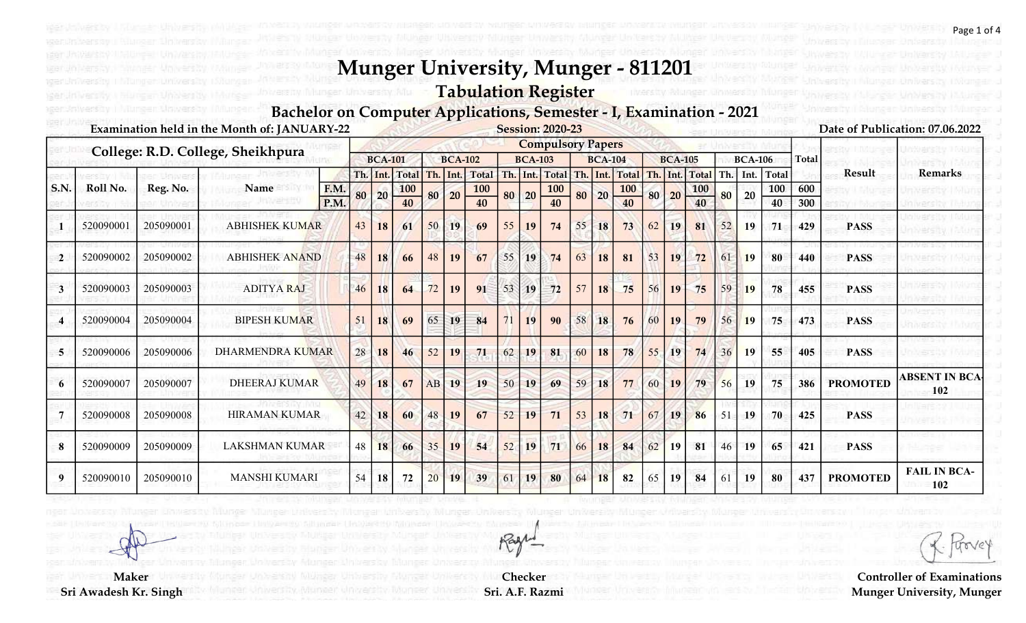# Tabulation Register

#### Bachelor on Computer Applications, Semester - I, Examination - 2021

|      |           |           | Examination held in the Month of: JANUARY-22 |              |    |                |                  |          |                |                  |    |                | <b>Session: 2020-23</b>  |    |                |                  |    |                |                  |    |                |                |            |                 | Date of Publication: 07.06.2022 |
|------|-----------|-----------|----------------------------------------------|--------------|----|----------------|------------------|----------|----------------|------------------|----|----------------|--------------------------|----|----------------|------------------|----|----------------|------------------|----|----------------|----------------|------------|-----------------|---------------------------------|
|      |           |           | College: R.D. College, Sheikhpura            |              |    |                |                  |          |                |                  |    |                | <b>Compulsory Papers</b> |    |                |                  |    |                |                  |    |                |                |            |                 |                                 |
|      |           |           |                                              |              |    | <b>BCA-101</b> |                  |          | <b>BCA-102</b> |                  |    | <b>BCA-103</b> |                          |    | <b>BCA-104</b> |                  |    | <b>BCA-105</b> |                  |    | <b>BCA-106</b> |                | Total      |                 |                                 |
|      |           |           |                                              |              |    |                | Th. Int. Total   | Th. Int. |                | Total            |    |                | Th. Int. Total Th. Int.  |    |                | <b>Total</b>     |    |                | Th. Int. Total   |    |                | Th. Int. Total |            | <b>Result</b>   | <b>Remarks</b>                  |
| S.N. | Roll No.  | Reg. No.  | Name                                         | F.M.<br>P.M. | 80 | 20             | <b>100</b><br>40 | 80       | 20             | <b>100</b><br>40 |    | 80 20          | 100<br>40                | 80 | 20             | <b>100</b><br>40 | 80 | 20             | <b>100</b><br>40 | 80 | 20             | 100<br>40      | 600<br>300 |                 |                                 |
|      | 520090001 | 205090001 | <b>ABHISHEK KUMAR</b>                        |              | 43 | 18             | 61               | 50       | 19             | 69               | 55 | 19             | 74                       | 55 | 18             | 73               | 62 | 19             | 81               | 52 | 19             | 71             | 429        | <b>PASS</b>     |                                 |
|      | 520090002 | 205090002 | <b>ABHISHEK ANAND</b>                        |              | 48 | 18             | 66               | 48       | 19             | 67               | 55 | 19             | 74                       | 63 | 18             | 81               | 53 | 19             | 72               | 61 | <b>19</b>      | 80             | 440        | <b>PASS</b>     |                                 |
| -3   | 520090003 | 205090003 | <b>ADITYA RAJ</b>                            |              | 46 | 18             | 64               | 72       | 19             | 91               | 53 | <b>19</b>      | 72                       | 57 | 18             | 75               | 56 | 19             | 75               | 59 | <b>19</b>      | 78             | 455        | <b>PASS</b>     |                                 |
|      | 520090004 | 205090004 | <b>BIPESH KUMAR</b>                          |              | 51 | 18             | 69               | 65       | 19             | 84               |    | 19             | 90                       | 58 | 18             | 76               | 60 | 19             | 79               | 56 | <b>19</b>      | 75             | 473        | <b>PASS</b>     |                                 |
|      | 520090006 | 205090006 | <b>DHARMENDRA KUMAR</b>                      |              | 28 | 18             | 46               | 52       | 19             | 71               | 62 | 19             | 81                       | 60 | 18             | 78               | 55 | 19             | 74               | 36 | <b>19</b>      | 55             | 405        | <b>PASS</b>     |                                 |
| 6    | 520090007 | 205090007 | <b>DHEERAJ KUMAR</b>                         |              | 49 | 18             | 67               | AB       | 19             | 19               | 50 | 19             | 69                       | 59 | 18             | 77               | 60 | 19             | 79               | 56 | 19             | 75             | 386        | <b>PROMOTED</b> | <b>ABSENT IN BCA</b><br>102     |
|      | 520090008 | 205090008 | <b>HIRAMAN KUMAR</b>                         |              | 42 | 18             | 60               | 48       | 19             | 67               | 52 | 19             | 71                       | 53 | 18             | 71               | 67 | 19             | 86               | 51 | 19             | 70             | 425        | <b>PASS</b>     |                                 |
| 8    | 520090009 | 205090009 | <b>LAKSHMAN KUMAR</b>                        |              | 48 | 18             | 66               | 35       | 19             | 54               | 52 | 19             | 71                       | 66 | 18             | 84               | 62 | <b>19</b>      | 81               | 46 | 19             | 65             | 421        | <b>PASS</b>     |                                 |
| Q    | 520090010 | 205090010 | <b>MANSHI KUMARI</b>                         |              | 54 | 18             | 72               | 20       | 19             | 39               | 61 | 19             | 80                       | 64 | 18             | 82               | 65 | 19             | 84               | 61 | <b>19</b>      | 80             | 437        | <b>PROMOTED</b> | <b>FAIL IN BCA-</b><br>102      |

Checker Sri. A.F. Razmi

Rage

trov

Page 1 of 4

**Maker** Sri Awadesh Kr. Singh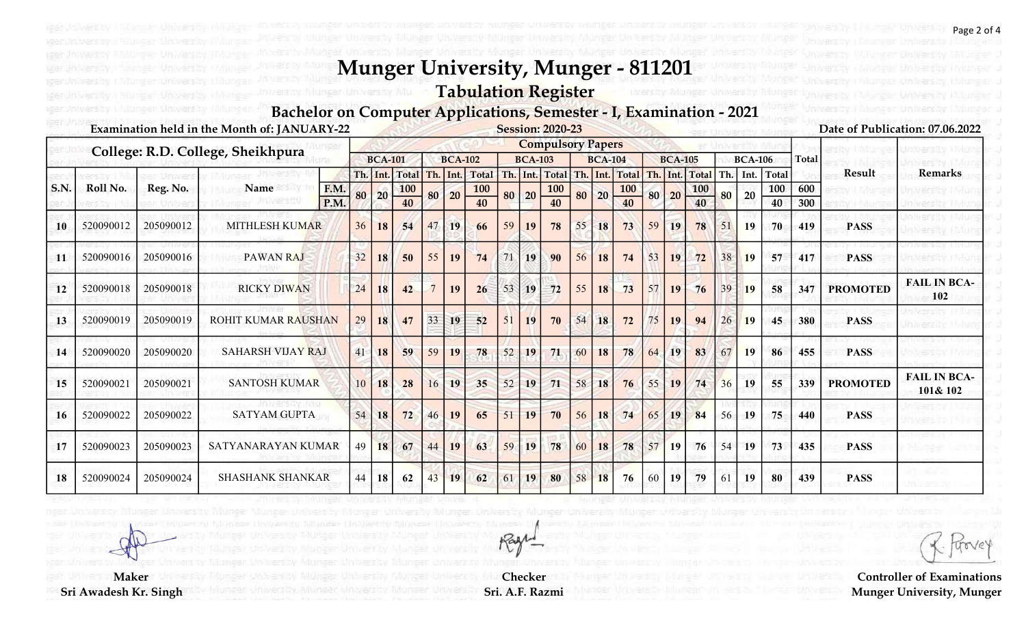# Tabulation Register

#### Bachelor on Computer Applications, Semester - I, Examination - 2021

|      |           |           | Examination held in the Month of: JANUARY-22 |              |    |                |                  |    |                |                  |    |                | <b>Session: 2020-23</b>  |    |                |                  |    |                |                  |        |                |                |              |                 | Date of Publication: 07.06.2022 |
|------|-----------|-----------|----------------------------------------------|--------------|----|----------------|------------------|----|----------------|------------------|----|----------------|--------------------------|----|----------------|------------------|----|----------------|------------------|--------|----------------|----------------|--------------|-----------------|---------------------------------|
|      |           |           | College: R.D. College, Sheikhpura            |              |    |                |                  |    |                |                  |    |                | <b>Compulsory Papers</b> |    |                |                  |    |                |                  |        |                |                |              |                 |                                 |
|      |           |           |                                              |              |    | <b>BCA-101</b> |                  |    | <b>BCA-102</b> |                  |    | <b>BCA-103</b> |                          |    | <b>BCA-104</b> |                  |    | <b>BCA-105</b> |                  |        | <b>BCA-106</b> |                | <b>Total</b> |                 |                                 |
|      |           |           |                                              |              |    |                | Th. Int. Total   |    |                | Th. Int. Total   |    |                | Th. Int. Total Th. Int.  |    |                | <b>Total</b>     |    | Th. Int.       | Total            |        |                | Th. Int. Total |              | Result          | <b>Remarks</b>                  |
| S.N. | Roll No.  | Reg. No.  | Name                                         | F.M.<br>P.M. | 80 | 20             | <b>100</b><br>40 | 80 | 20             | <b>100</b><br>40 | 80 | 20             | <b>100</b><br>40         | 80 | 20             | <b>100</b><br>40 | 80 | 20             | <b>100</b><br>40 | 80     | 20             | 100<br>40      | 600<br>300   |                 |                                 |
| 10   | 520090012 | 205090012 | <b>MITHLESH KUMAR</b>                        |              | 36 | 18             | 54               | 47 | 19             | 66               | 59 | 19             | 78                       | 55 | 18             | 73               | 59 | 19             | 78               | 51     | 19             | 70             | 419          | <b>PASS</b>     |                                 |
| 11   | 520090016 | 205090016 | <b>PAWAN RAJ</b>                             |              | 32 | 18             | 50               | 55 | 19             | 74               | 71 | 19             | 90                       | 56 | 18             | 74               | 53 | 19             | 72               | 38     | <b>19</b>      | 57             | 417          | <b>PASS</b>     |                                 |
| 12   | 520090018 | 205090018 | <b>RICKY DIWAN</b>                           |              | 24 | 18             | 42               |    | 19             | 26               | 53 | 19             | 72                       | 55 | 18             | 73               | 57 | 19             | 76               | 39     | <b>19</b>      | 58             | 347          | <b>PROMOTED</b> | <b>FAIL IN BCA-</b><br>102      |
| 13   | 520090019 | 205090019 | <b>ROHIT KUMAR RAUSHAN</b>                   |              | 29 | 18             | 47               | 33 | 19             | 52               | 51 | 19             | 70                       | 54 | 18             | 72               | 75 | 19             | 94               | 26     | <b>19</b>      | 45             | 380          | <b>PASS</b>     |                                 |
| 14   | 520090020 | 205090020 | SAHARSH VIJAY RAJ                            |              | 41 | <b>18</b>      | 59               | 59 | 19             | 78               | 52 | 19             | 71                       | 60 | 18             | 78               | 64 | 19             | 83               | 67     | <b>19</b>      | 86             | 455          | <b>PASS</b>     |                                 |
| 15   | 520090021 | 205090021 | <b>SANTOSH KUMAR</b>                         |              | 10 | 18             | 28               | 16 | 19             | 35               | 52 | 19             | 71                       | 58 | 18             | 76               | 55 | <b>19</b>      | 74               | 36     | 19             | 55             | 339          | <b>PROMOTED</b> | <b>FAIL IN BCA-</b><br>101& 102 |
| 16   | 520090022 | 205090022 | <b>SATYAM GUPTA</b>                          |              | 54 | 18             | 72               | 46 | 19             | 65               | 51 | 19             | 70                       | 56 | 18             | 74               | 65 | 19             | 84               | $56 -$ | 19             | 75             | 440          | <b>PASS</b>     |                                 |
| 17   | 520090023 | 205090023 | SATYANARAYAN KUMAR                           |              | 49 | 18             | 67               | 44 | 19             | 63               | 59 | 19             | 78                       | 60 | 18             | 78               | 57 | <b>19</b>      | 76               | 54     | 19             | 73             | 435          | <b>PASS</b>     |                                 |
| 18   | 520090024 | 205090024 | <b>SHASHANK SHANKAR</b>                      |              | 44 | 18             | 62               | 43 | 19             | 62               | 61 | 19             | 80                       | 58 | 18             | 76               | 60 | 19             | 79               | 61     | 19             | 80             | 439          | <b>PASS</b>     |                                 |

trove

Controller of Examinations Munger University, Munger

**Maker** Sri Awadesh Kr. Singh

Checker Sri. A.F. Razmi

Rage

Page 2 of 4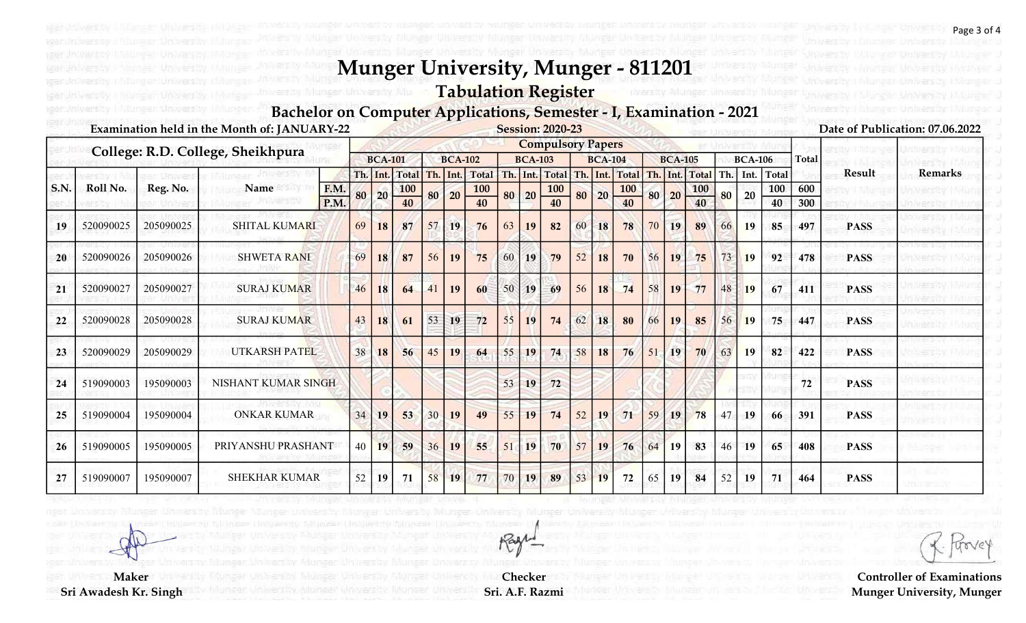# Tabulation Register

#### Bachelor on Computer Applications, Semester - I, Examination - 2021

|              |           |           | Examination held in the Month of: JANUARY-22 |      |    |                |                |    |                |              |    |                | <b>Session: 2020-23</b>  |     |                |            |    |                |                |     |                |       |              |             | Date of Publication: 07.06.2022 |
|--------------|-----------|-----------|----------------------------------------------|------|----|----------------|----------------|----|----------------|--------------|----|----------------|--------------------------|-----|----------------|------------|----|----------------|----------------|-----|----------------|-------|--------------|-------------|---------------------------------|
|              |           |           | College: R.D. College, Sheikhpura            |      |    |                |                |    |                |              |    |                | <b>Compulsory Papers</b> |     |                |            |    |                |                |     |                |       |              |             |                                 |
|              |           |           |                                              |      |    | <b>BCA-101</b> |                |    | <b>BCA-102</b> |              |    | <b>BCA-103</b> |                          |     | <b>BCA-104</b> |            |    | <b>BCA-105</b> |                |     | <b>BCA-106</b> |       | <b>Total</b> |             |                                 |
|              |           |           |                                              |      |    | Th. Int.       | Total Th. Int. |    |                | <b>Total</b> |    | Th. Int.       | <b>Total</b>             | Th. |                | Int. Total |    |                | Th. Int. Total | Th. | Int.           | Total |              | Result      | <b>Remarks</b>                  |
| $\vert$ S.N. | Roll No.  | Reg. No.  | Name                                         | F.M. | 80 | 20             | 100            | 80 | 20             | 100          | 80 | 20             | <b>100</b>               | 80  | 20             | <b>100</b> | 80 | 20             | <b>100</b>     | 80  | 20             | 100   | 600          |             |                                 |
|              |           |           |                                              | P.M. |    |                | 40             |    |                | 40           |    |                | 40                       |     |                | 40         |    |                | 40             |     |                | 40    | 300          |             |                                 |
| 19           | 520090025 | 205090025 | <b>SHITAL KUMARI</b>                         |      | 69 | 18             | 87             | 57 | 19             | 76           | 63 | 19             | 82                       | 60  | 18             | 78         | 70 | 19             | 89             | 66  | 19             | 85    | 497          | <b>PASS</b> |                                 |
| 20           | 520090026 | 205090026 | <b>SHWETA RANI</b>                           |      | 69 | 18             | 87             | 56 | 19             | 75           | 60 | 19             | 79                       | 52  | 18             | 70         | 56 | <b>19</b>      | 75             | 73  | <b>19</b>      | 92    | 478          | <b>PASS</b> |                                 |
| 21           | 520090027 | 205090027 | <b>SURAJ KUMAR</b>                           |      | 46 | <b>18</b>      | 64             | 41 | 19             | 60           | 50 | 19             | 69                       | 56  | 18             | 74         | 58 | 19             | 77             | 48  | <b>19</b>      | 67    | 411          | <b>PASS</b> |                                 |
| 22           | 520090028 | 205090028 | <b>SURAJ KUMAR</b>                           |      | 43 | 18             | 61             | 53 | 19             | 72           | 55 | 19             | 74                       | 62  | 18             | 80         | 66 | 19             | 85             | 56  | <b>19</b>      | 75    | 447          | <b>PASS</b> |                                 |
| 23           | 520090029 | 205090029 | UTKARSH PATEL                                |      | 38 | 18             | 56             | 45 | 19             | 64           | 55 | 19             | 74                       | 58  | 18             | 76         | 51 | 19             | 70             | 63  | 19             | 82    | 422          | <b>PASS</b> |                                 |
| 24           | 519090003 | 195090003 | NISHANT KUMAR SINGH                          |      |    |                |                |    |                |              | 53 | 19             | 72                       |     |                |            |    |                |                |     |                |       | 72           | <b>PASS</b> |                                 |
| 25           | 519090004 | 195090004 | <b>ONKAR KUMAR</b>                           |      | 34 | 19             | 53             | 30 | 19             | 49           | 55 | 19             | 74                       | 52  | 19             | 71         | 59 | 19             | 78             | 47  | 19             | 66    | 391          | <b>PASS</b> |                                 |
| 26           | 519090005 | 195090005 | PRIYANSHU PRASHANT                           |      | 40 | 19             | 59             | 36 | 19             | 55           | 51 | 19             | 70                       | 57  | 19             | 76         | 64 | <b>19</b>      | 83             | 46  | <b>19</b>      | 65    | 408          | <b>PASS</b> |                                 |
| 27           | 519090007 | 195090007 | <b>SHEKHAR KUMAR</b>                         |      | 52 | 19             | 71             | 58 | 19             | 77           | 70 | 19             | 89                       | 53  | 19             | 72         | 65 | 19             | 84             | 52  | 19             | 71    | 464          | <b>PASS</b> |                                 |

Checker Sri. A.F. Razmi

Rage

Page 3 of 4

**Maker** Sri Awadesh Kr. Singh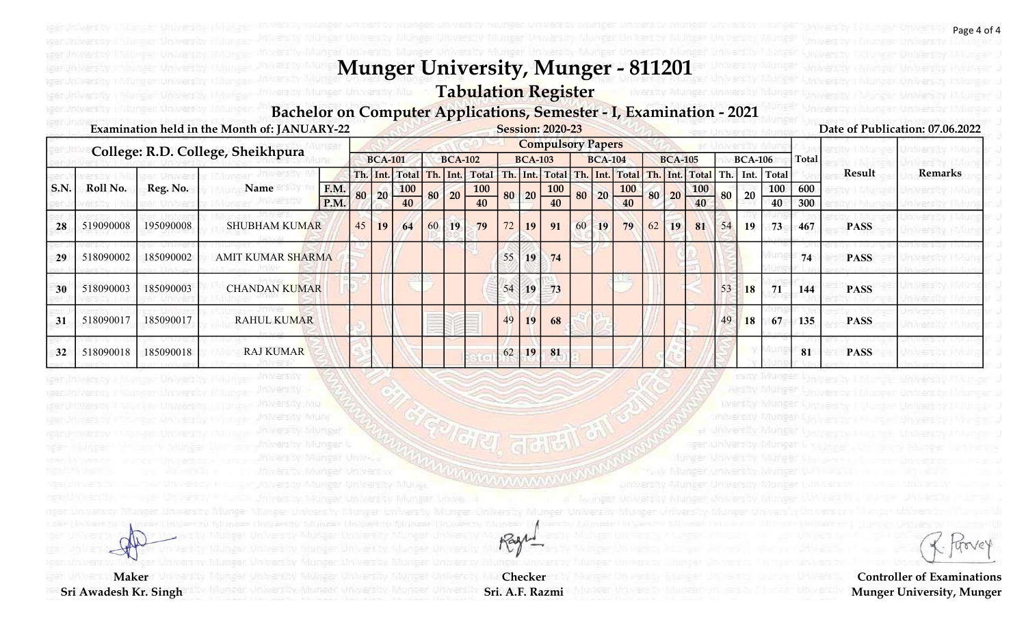# Tabulation Register

#### Bachelor on Computer Applications, Semester - I, Examination - 2021

| Date of Publication: 07.06.2022             |                |                |    |                               |                |    | <b>Session: 2020-23</b>  |                 |    |                |                |    |                                      |                |    |      | Examination held in the Month of: JANUARY-22 |           |           |             |
|---------------------------------------------|----------------|----------------|----|-------------------------------|----------------|----|--------------------------|-----------------|----|----------------|----------------|----|--------------------------------------|----------------|----|------|----------------------------------------------|-----------|-----------|-------------|
|                                             |                |                |    |                               |                |    | <b>Compulsory Papers</b> |                 |    |                |                |    |                                      |                |    |      | College: R.D. College, Sheikhpura            |           |           |             |
| <b>Total</b><br><b>BCA-106</b>              |                | <b>BCA-105</b> |    |                               | <b>BCA-104</b> |    |                          | <b>BCA-103</b>  |    |                | <b>BCA-102</b> |    |                                      | <b>BCA-101</b> |    |      |                                              |           |           |             |
| Result<br>Remarks<br>Th. Int. Total         | Th. Int. Total |                |    | Th. Int. Total Th. Int. Total |                |    |                          |                 |    | Th. Int. Total |                |    | Th. Int. Total                       |                |    |      |                                              |           |           |             |
| 600<br>100<br>20<br>80                      | <b>100</b>     | 80 20          |    | $\frac{100}{40}$              | 20             | 80 | <b>100</b>               | $80$ 20 $-$     |    | <b>100</b>     | 20             | 80 | $\begin{array}{c c} 100 \end{array}$ | 20             | 80 | F.M. | Name                                         | Reg. No.  | Roll No.  | $\mid$ S.N. |
| 40<br>300                                   | 40             |                |    |                               |                |    | 40                       |                 |    | 40             |                |    | 40                                   |                |    | P.M. |                                              |           |           |             |
| 467<br>54<br>19<br>73<br><b>PASS</b>        | 81             | 19             | 62 | 79                            | 19             | 60 | 91                       | 19              | 72 | 79             | 19             | 60 | 64                                   | <b>19</b>      | 45 |      | <b>SHUBHAM KUMAR</b>                         | 195090008 | 519090008 | 28          |
| 74<br><b>PASS</b>                           |                |                |    |                               |                |    | 74                       | 19 <sup>1</sup> | 55 |                |                |    |                                      |                |    |      | <b>AMIT KUMAR SHARMA</b>                     | 185090002 | 518090002 | 29          |
| 71<br><b>18</b><br>53<br><b>PASS</b><br>144 |                |                |    |                               |                |    | 73                       | 19              | 54 |                |                |    |                                      |                |    |      | <b>CHANDAN KUMAR</b>                         | 185090003 | 518090003 | 30          |
| 49<br><b>18</b><br>67<br>135<br><b>PASS</b> |                |                |    |                               |                |    | 68                       | 19 <sup>°</sup> | 49 |                |                |    |                                      |                |    |      | <b>RAHUL KUMAR</b>                           | 185090017 | 518090017 | 31          |
| 81<br><b>PASS</b>                           |                |                |    |                               |                |    | 81                       | 19              | 62 |                |                |    |                                      |                |    |      | <b>RAJ KUMAR</b>                             | 185090018 | 518090018 | 32          |

Checker Sri. A.F. Razmi

Rage

**Maker** 

Sri Awadesh Kr. Singh

httparsity (Mun)

trove

Controller of Examinations Munger University, Munger

gen nijn Wenstty: Nijunge

Page 4 of 4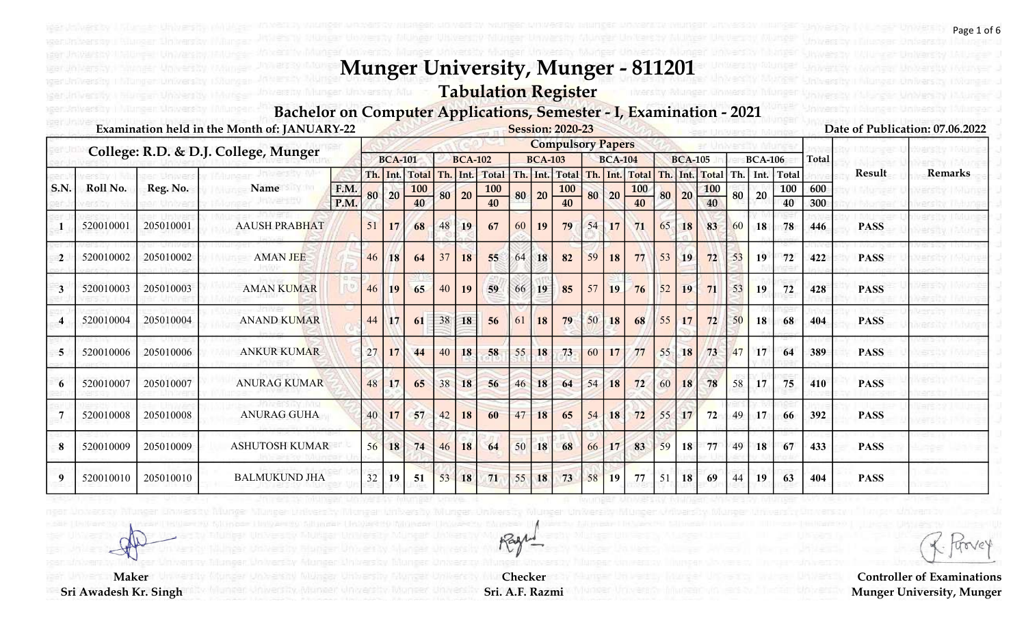# Tabulation Register

#### Bachelor on Computer Applications, Semester - I, Examination - 2021

|                |           |           | Examination held in the Month of: JANUARY-22 |      |    |                |              |    |                |              |    |                | <b>Session: 2020-23</b>  |    |                |                |    |                |            |     |                |       |              |             | Date of Publication: 07.06.2022 |
|----------------|-----------|-----------|----------------------------------------------|------|----|----------------|--------------|----|----------------|--------------|----|----------------|--------------------------|----|----------------|----------------|----|----------------|------------|-----|----------------|-------|--------------|-------------|---------------------------------|
|                |           |           | College: R.D. & D.J. College, Munger         |      |    |                |              |    |                |              |    |                | <b>Compulsory Papers</b> |    |                |                |    |                |            |     |                |       |              |             |                                 |
|                |           |           |                                              |      |    | <b>BCA-101</b> |              |    | <b>BCA-102</b> |              |    | <b>BCA-103</b> |                          |    | <b>BCA-104</b> |                |    | <b>BCA-105</b> |            |     | <b>BCA-106</b> |       | <b>Total</b> |             |                                 |
|                |           |           |                                              |      |    | Th. Int.       | <b>Total</b> |    | Th. Int.       | <b>Total</b> |    |                | Th. Int. Total           |    | Th. Int.       | Total Th. Int. |    |                | Total      | Th. | Int.           | Total |              | Result      | <b>Remarks</b>                  |
| <b>S.N.</b>    | Roll No.  | Reg. No.  | Name                                         | F.M. | 80 | 20             | <b>100</b>   | 80 | $ 20\rangle$   | 100          | 80 | 20             | <b>100</b>               |    | 80 20          | <b>100</b>     | 80 | 20             | <b>100</b> | 80  | 20             | 100   | 600          |             |                                 |
|                |           |           |                                              | P.M. |    |                | 40           |    |                | 40           |    |                | 40                       |    |                | 40             |    |                | 40         |     |                | 40    | 300          |             |                                 |
|                | 520010001 | 205010001 | <b>AAUSH PRABHAT</b>                         |      | 51 | 17             | 68           | 48 | 19             | 67           | 60 | 19             | 79                       | 54 | 17             | 71             | 65 | 18             | 83         | 60  | 18             | 78    | 446          | <b>PASS</b> |                                 |
| $\overline{2}$ | 520010002 | 205010002 | <b>AMAN JEE</b>                              |      | 46 | 18             | 64           | 37 | 18             | 55           | 64 | 18             | 82                       | 59 | 18             | 77             | 53 | 19             | 72         | 53  | 19             | 72    | 422          | <b>PASS</b> |                                 |
| 3              | 520010003 | 205010003 | <b>AMAN KUMAR</b>                            |      | 46 | 19             | 65           | 40 | 19             | 59           | 66 | 19             | 85                       | 57 | 19             | 76             | 52 | 19             | 71         | 53  | 19             | 72    | 428          | <b>PASS</b> |                                 |
| 4              | 520010004 | 205010004 | <b>ANAND KUMAR</b>                           |      | 44 | 17             | 61           | 38 | 18             | 56           | 61 | <b>18</b>      | 79                       | 50 | 18             | 68             | 55 | 17             | 72         | 50  | <b>18</b>      | 68    | 404          | <b>PASS</b> |                                 |
| 5              | 520010006 | 205010006 | <b>ANKUR KUMAR</b>                           |      | 27 | 17             | 44           | 40 | 18             | 58           | 55 | 18             | 73                       | 60 | 17             | 77             | 55 | 18             | 73         | 47  | 17             | 64    | 389          | <b>PASS</b> |                                 |
| 6              | 520010007 | 205010007 | <b>ANURAG KUMAR</b>                          |      | 48 | 17             | 65           | 38 | 18             | 56           | 46 | 18             | 64                       | 54 | 18             | 72             | 60 | 18             | 78         | 58  | 17             | 75    | 410          | <b>PASS</b> |                                 |
|                | 520010008 | 205010008 | <b>ANURAG GUHA</b>                           |      | 40 | 17             | 57           | 42 | 18             | 60           | 47 | 18             | 65                       | 54 | 18             | 72             | 55 | 17             | 72         | 49  | 17             | 66    | 392          | <b>PASS</b> |                                 |
| 8              | 520010009 | 205010009 | <b>ASHUTOSH KUMAR</b>                        |      | 56 | 18             | 74           | 46 | 18             | 64           | 50 | 18             | 68                       | 66 | 17             | 83             | 59 | 18             | 77         | 49  | <b>18</b>      | 67    | 433          | <b>PASS</b> |                                 |
| 9              | 520010010 | 205010010 | <b>BALMUKUND JHA</b>                         |      | 32 | 19             | 51           | 53 | 18             | 71           | 55 | 18             | 73                       | 58 | 19             | 77             | 51 | 18             | 69         | 44  | 19             | 63    | 404          | <b>PASS</b> |                                 |

Controller of Examinations Munger University, Munger

**Maker** Sri Awadesh Kr. Singh

Checker Sri. A.F. Razmi

Rage

Page 1 of 6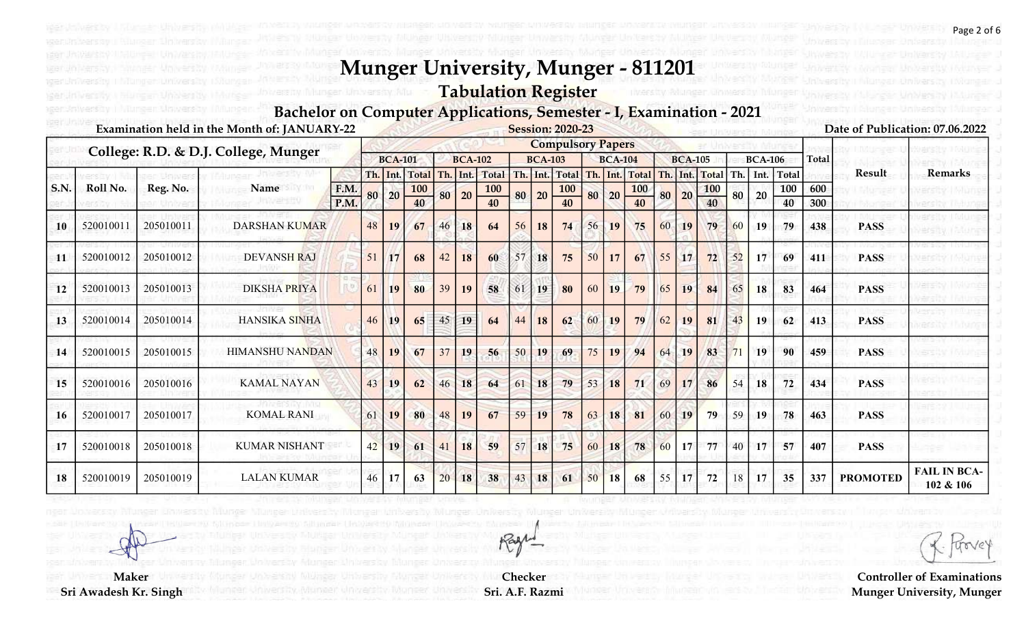# Tabulation Register

#### Bachelor on Computer Applications, Semester - I, Examination - 2021

|             |           |           | Examination held in the Month of: JANUARY-22 |      |    |                |              |     |                |              |     |                | <b>Session: 2020-23</b>  |          |                |              |    |                |              |     |                |              |              |                 | Date of Publication: 07.06.2022  |
|-------------|-----------|-----------|----------------------------------------------|------|----|----------------|--------------|-----|----------------|--------------|-----|----------------|--------------------------|----------|----------------|--------------|----|----------------|--------------|-----|----------------|--------------|--------------|-----------------|----------------------------------|
|             |           |           | College: R.D. & D.J. College, Munger         |      |    |                |              |     |                |              |     |                | <b>Compulsory Papers</b> |          |                |              |    |                |              |     |                |              |              |                 |                                  |
|             |           |           |                                              |      |    | <b>BCA-101</b> |              |     | <b>BCA-102</b> |              |     | <b>BCA-103</b> |                          |          | <b>BCA-104</b> |              |    | <b>BCA-105</b> |              |     | <b>BCA-106</b> |              | <b>Total</b> |                 |                                  |
|             |           |           |                                              |      |    | Th. Int.       | <b>Total</b> | Th. | Int.           | <b>Total</b> | Th. |                | Int. Total               | Th. Int. |                | <b>Total</b> |    | Th. Int.       | <b>Total</b> | Th. | Int.           | <b>Total</b> |              | Result          | <b>Remarks</b>                   |
| <b>S.N.</b> | Roll No.  | Reg. No.  | Name                                         | F.M. | 80 | 20             | <b>100</b>   | 80  | 20             | <b>100</b>   | 80  | 20             | <b>100</b>               | 80       | 20             | <b>100</b>   | 80 | 20             | <b>100</b>   | 80  | 20             | 100          | 600          |                 |                                  |
|             |           |           |                                              | P.M. |    |                | 40           |     |                | 40           |     |                | 40                       |          |                | 40           |    |                | 40           |     |                | 40           | 300          |                 |                                  |
| 10          | 520010011 | 205010011 | <b>DARSHAN KUMAR</b>                         |      | 48 | 19             | 67           | 46  | 18             | 64           | 56  | 18             | 74                       | 56       | 19             | 75           | 60 | 19             | 79           | 60  | 19             | 79           | 438          | <b>PASS</b>     |                                  |
| 11          | 520010012 | 205010012 | <b>DEVANSH RAJ</b>                           |      | 51 | 17             | 68           | 42  | 18             | 60           | 57  | 18             | 75                       | 50       | 17             | 67           | 55 | 17             | 72           | 52  | 17             | 69           | 411          | <b>PASS</b>     |                                  |
| 12          | 520010013 | 205010013 | <b>DIKSHA PRIYA</b>                          |      | 61 | 19             | 80           | 39  | 19             | 58           | 61  | 19             | 80                       | 60       | 19             | 79           | 65 | 19             | 84           | 65  | 18             | 83           | 464          | <b>PASS</b>     |                                  |
| 13          | 520010014 | 205010014 | <b>HANSIKA SINHA</b>                         |      | 46 | 19             | 65           | 45  | 19             | 64           | 44  | 18             | 62                       | $.60 +$  | 19             | 79           | 62 | 19             | 81           | 43  | 19             | 62           | 413          | <b>PASS</b>     |                                  |
| 14          | 520010015 | 205010015 | <b>HIMANSHU NANDAN</b>                       |      | 48 | 19             | 67           | 37  | 19             | 56           | 50  | 19             | 69                       | 75       | 19             | 94           | 64 | <b>19</b>      | 83           |     | 19             | 90           | 459          | <b>PASS</b>     |                                  |
| 15          | 520010016 | 205010016 | <b>KAMAL NAYAN</b>                           |      | 43 | 19             | 62           | 46  | 18             | 64           | 61  | 18             | 79                       | 53       | 18             | 71           | 69 |                | 86           | 54  | 18             | 72           | 434          | <b>PASS</b>     |                                  |
| 16          | 520010017 | 205010017 | <b>KOMAL RANI</b>                            |      | 61 | 19             | 80           | 48  | 19             | 67           | 59  | 19             | 78                       | 63       | 18             | 81           | 60 | 19             | 79           | 59  | 19             | 78           | 463          | <b>PASS</b>     |                                  |
| 17          | 520010018 | 205010018 | <b>KUMAR NISHANT</b>                         |      | 42 | 19             | 61           | 41  | 18             | 59           | 57  | 18             | 75                       | 60       | 18             | 78           | 60 | 17             | 77           | 40  | 17             | 57           | 407          | <b>PASS</b>     |                                  |
| 18          | 520010019 | 205010019 | <b>LALAN KUMAR</b>                           |      | 46 | 17             | 63           | 20  | 18             | 38           | 43  | 18             | 61                       | 50       | 18             | 68           | 55 | 17             | 72           | 18  | 17             | 35           | 337          | <b>PROMOTED</b> | <b>FAIL IN BCA-</b><br>102 & 106 |

Controller of Examinations Munger University, Munger

**Maker** Sri Awadesh Kr. Singh

Checker Sri. A.F. Razmi

Rage

Page 2 of 6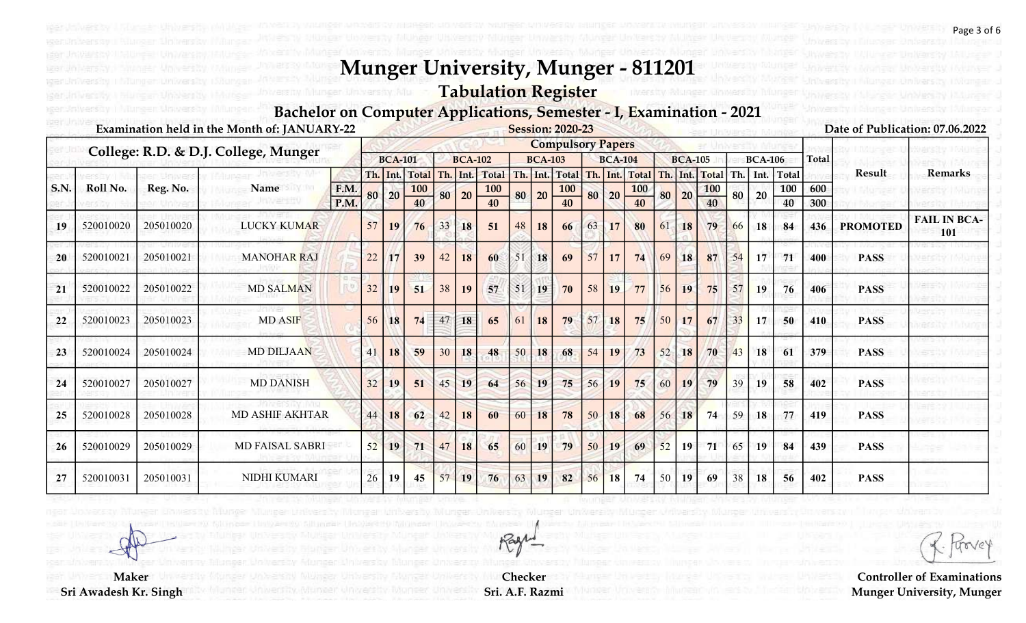# Tabulation Register

#### Bachelor on Computer Applications, Semester - I, Examination - 2021

|             |           |           | Examination held in the Month of: JANUARY-22 |      |     |                |            |    |                |              |    |                | <b>Session: 2020-23</b>  |                 |                |              |     |                |            |     |                |       |              |                 | Date of Publication: 07.06.2022 |
|-------------|-----------|-----------|----------------------------------------------|------|-----|----------------|------------|----|----------------|--------------|----|----------------|--------------------------|-----------------|----------------|--------------|-----|----------------|------------|-----|----------------|-------|--------------|-----------------|---------------------------------|
|             |           |           | College: R.D. & D.J. College, Munger         |      |     |                |            |    |                |              |    |                | <b>Compulsory Papers</b> |                 |                |              |     |                |            |     |                |       |              |                 |                                 |
|             |           |           |                                              |      |     | <b>BCA-101</b> |            |    | <b>BCA-102</b> |              |    | <b>BCA-103</b> |                          |                 | <b>BCA-104</b> |              |     | <b>BCA-105</b> |            |     | <b>BCA-106</b> |       | <b>Total</b> |                 |                                 |
|             |           |           |                                              |      | Th. | Int.           | Total      |    | Th. Int.       | <b>Total</b> |    |                | Th. Int. Total           |                 | Th. Int.       | <b>Total</b> | Th. | Int.           | Total      | Th. | Int.           | Total |              | Result          | <b>Remarks</b>                  |
| <b>S.N.</b> | Roll No.  | Reg. No.  | Name                                         | F.M. | 80  | 20             | <b>100</b> | 80 | 20             | <b>100</b>   | 80 | 20             | <b>100</b>               |                 | 80 20          | <b>100</b>   | 80  | 20             | <b>100</b> | 80  | 20             | 100   | 600          |                 |                                 |
|             |           |           |                                              | P.M. |     |                | 40         |    |                | 40           |    |                | 40                       |                 |                | 40           |     |                | 40         |     |                | 40    | 300          |                 |                                 |
| 19          | 520010020 | 205010020 | <b>LUCKY KUMAR</b>                           |      | 57  | 19             | 76         | 33 | 18             | 51           | 48 | 18             | 66                       | 63              | 17             | 80           | 61  | 18             | 79         | 66  | 18             | 84    | 436          | <b>PROMOTED</b> | <b>FAIL IN BCA-</b><br>101      |
| 20          | 520010021 | 205010021 | <b>MANOHAR RAJ</b>                           |      | 22  | 17             | 39         | 42 | 18             | 60           | 51 | 18             | 69                       | 57              | 17             | 74           | 69  | 18             | 87         | 54  | 17             | 71    | 400          | <b>PASS</b>     |                                 |
| 21          | 520010022 | 205010022 | <b>MD SALMAN</b>                             |      | 32  | 19             | 51         | 38 | 19             | 57           | 51 | 19             | 70                       | 58              | 19             | 77           | 56  | 19             | 75         |     | 19             | 76    | 406          | <b>PASS</b>     |                                 |
| 22          | 520010023 | 205010023 | <b>MD ASIF</b>                               |      | 56  | 18             | 74         | 47 | 18             | 65           | 61 | <b>18</b>      | 79                       | 57              | 18             | 75           | 50  | 17             | 67         | 33  | 17             | 50    | 410          | <b>PASS</b>     |                                 |
| 23          | 520010024 | 205010024 | <b>MD DILJAAN</b>                            |      | 41  | 18             | 59         | 30 | 18             | 48           | 50 | 18             | 68                       | 54              | 19             | 73           | 52  | <b>18</b>      | 70         | 43  | <b>18</b>      | 61    | 379          | <b>PASS</b>     |                                 |
| 24          | 520010027 | 205010027 | <b>MD DANISH</b>                             |      | 32  | 19             | 51         | 45 | 19             | 64           | 56 | 19             | 75                       | 56              | 19             | 75           | 60  | 19             | 79         | 39  | 19             | 58    | 402          | <b>PASS</b>     |                                 |
| 25          | 520010028 | 205010028 | <b>MD ASHIF AKHTAR</b>                       |      | 44  | 18             | 62         | 42 | 18             | 60           | 60 | 18             | 78                       | 50 <sub>1</sub> | 18             | 68           | 56  | 18             | 74         | 59  | <b>18</b>      | 77    | 419          | <b>PASS</b>     |                                 |
| 26          | 520010029 | 205010029 | <b>MD FAISAL SABRI</b>                       |      | 52  | 19             | 71         | 47 | 18             | 65           | 60 | 19             | 79                       | 50              | 19             | 69           | 52  | 19             | 71         | 65  | 19             | 84    | 439          | <b>PASS</b>     |                                 |
| 27          | 520010031 | 205010031 | <b>NIDHI KUMARI</b>                          |      | 26  | 19             | 45         | 57 | 19             | 76           | 63 | 19             | 82                       | 56              | <b>18</b>      | 74           | 50  | 19             | 69         | 38  | 18             | 56    | 402          | <b>PASS</b>     |                                 |

Rage

Checker Sri. A.F. Razmi

Controller of Examinations Munger University, Munger

**Maker** Sri Awadesh Kr. Singh

Page 3 of 6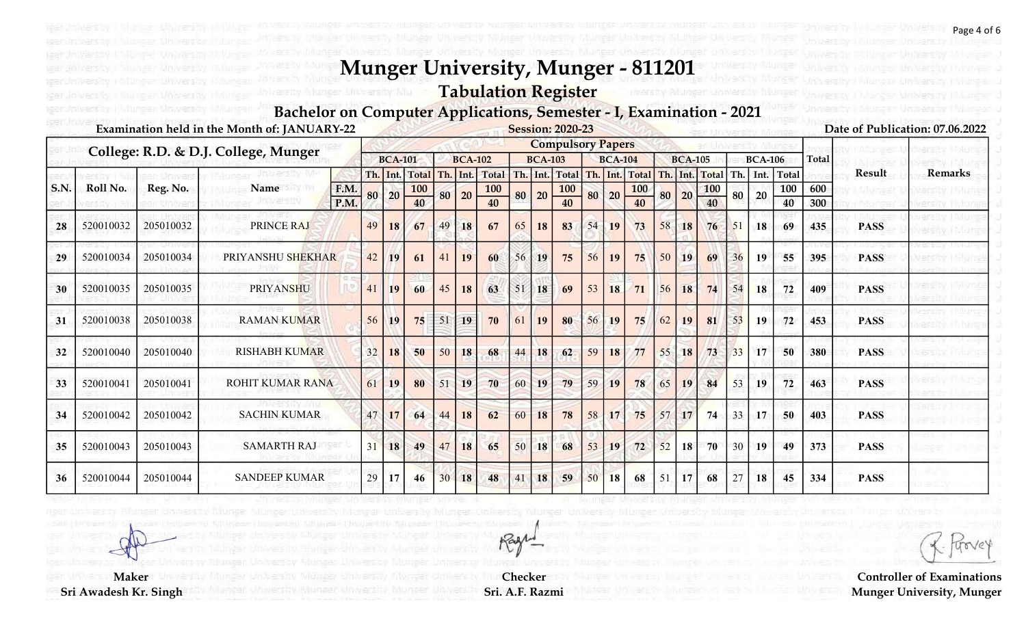# Tabulation Register

#### Bachelor on Computer Applications, Semester - I, Examination - 2021

|             |           |           | Examination held in the Month of: JANUARY-22 |      |          |                |              |          |                |              |    |                | <b>Session: 2020-23</b>  |    |                |            |    |                |              |     |                |       |              |             | Date of Publication: 07.06.2022 |
|-------------|-----------|-----------|----------------------------------------------|------|----------|----------------|--------------|----------|----------------|--------------|----|----------------|--------------------------|----|----------------|------------|----|----------------|--------------|-----|----------------|-------|--------------|-------------|---------------------------------|
|             |           |           | College: R.D. & D.J. College, Munger         |      |          |                |              |          |                |              |    |                | <b>Compulsory Papers</b> |    |                |            |    |                |              |     |                |       |              |             |                                 |
|             |           |           |                                              |      |          | <b>BCA-101</b> |              |          | <b>BCA-102</b> |              |    | <b>BCA-103</b> |                          |    | <b>BCA-104</b> |            |    | <b>BCA-105</b> |              |     | <b>BCA-106</b> |       | <b>Total</b> |             |                                 |
|             |           |           |                                              |      | Th. Int. |                | <b>Total</b> | Th. Int. |                | <b>Total</b> |    |                | Th. Int. Total           |    | Th. Int.       | Total      |    | Th. Int.       | <b>Total</b> | Th. | Int.           | Total |              | Result      | <b>Remarks</b>                  |
| <b>S.N.</b> | Roll No.  | Reg. No.  | Name                                         | F.M. | 80       | 20             | 100          | 80       | 20             | 100          |    | 80 20          | <b>100</b>               | 80 | 20             | <b>100</b> |    | 80 20          | 100          | 80  | 20             | 100   | 600          |             |                                 |
|             |           |           | link ar str                                  | P.M. |          |                | 40           |          |                | 40           |    |                | 40                       |    |                | 40         |    |                | 40           |     |                | 40    | 300          |             |                                 |
| 28          | 520010032 | 205010032 | PRINCE RAJ                                   |      | 49       | 18             | 67           | 49       | 18             | 67           | 65 | 18             | 83                       | 54 | 19             | 73         | 58 | 18             | 76           | 51  | 18             | 69    | 435          | <b>PASS</b> |                                 |
| 29          | 520010034 | 205010034 | PRIYANSHU SHEKHAR                            |      | 42       | 19             | 61           | 41       | 19             | 60           | 56 | 19             | 75                       | 56 | <b>19</b>      | 75         | 50 | 19             | 69           | 36  | 19             | 55    | 395          | <b>PASS</b> |                                 |
| 30          | 520010035 | 205010035 | <b>PRIYANSHU</b>                             |      | 41       | 19             | 60           | 45       | 18             | 63           | 51 | 18             | 69                       | 53 | <b>18</b>      | 71         | 56 | 18             | 74           | 54  | 18             | $72$  | 409          | <b>PASS</b> |                                 |
| 31          | 520010038 | 205010038 | <b>RAMAN KUMAR</b>                           |      | 56       | 19             | 75           | 51       | 19             | 70           | 61 | <b>19</b>      | 80                       | 56 | 19             | 75         | 62 | 19             | 81           | 53  | 19             | 72    | 453          | <b>PASS</b> |                                 |
| 32          | 520010040 | 205010040 | <b>RISHABH KUMAR</b>                         |      | 32       | 18             | 50           | 50       | 18             | 68           | 44 | 18             | 62                       | 59 | 18             | 77         | 55 | 18             | 73           | 33  | 17             | 50    | 380          | <b>PASS</b> |                                 |
| 33          | 520010041 | 205010041 | <b>ROHIT KUMAR RANA</b>                      |      | 61       | 19             | 80           | 51       | 19             | 70           | 60 | 19             | 79                       | 59 | 19             | 78         | 65 | 19             | 84           | 53  | 19             | 72    | 463          | <b>PASS</b> |                                 |
| 34          | 520010042 | 205010042 | <b>SACHIN KUMAR</b>                          |      | 47       | 17             | 64           | 44       | 18             | 62           | 60 | 18             | 78                       | 58 | 17             | 75         | 57 | 17             | 74           | 33  | 17             | 50    | 403          | <b>PASS</b> |                                 |
| 35          | 520010043 | 205010043 | <b>SAMARTH RAJ</b>                           |      | 31       | 18             | 49           | 47       | 18             | 65           | 50 | 18             | 68                       | 53 | 19             | 72         | 52 | 18             | 70           | 30  | <b>19</b>      | 49    | 373          | <b>PASS</b> |                                 |
| 36          | 520010044 | 205010044 | <b>SANDEEP KUMAR</b>                         |      | 29       | 17             | 46           | 30       | 18             | 48           | 41 | 18             | 59                       | 50 | 18             | 68         | 51 | 17             | 68           |     | 18             | 45    | 334          | <b>PASS</b> |                                 |

Checker Sri. A.F. Razmi

Rage

**Maker** 

Sri Awadesh Kr. Singh

Page 4 of 6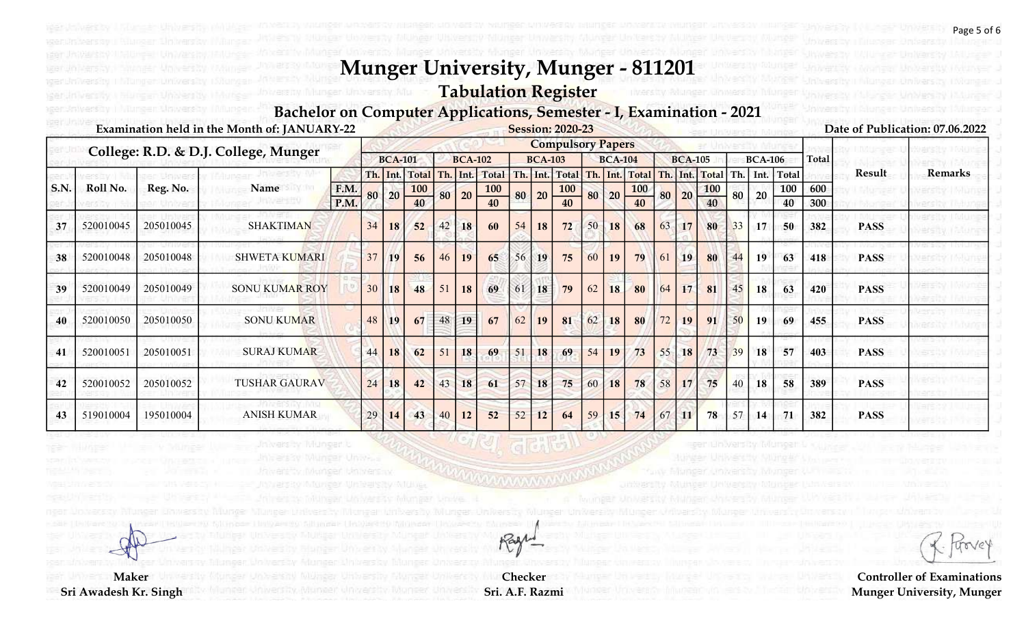# Tabulation Register

#### Bachelor on Computer Applications, Semester - I, Examination - 2021

|             |           |           | Examination held in the Month of: JANUARY-22 |      |    |                |              |    |                |              |    |                | <b>Session: 2020-23</b>  |    |                 |                |    |                 |                    |    |                |            |              |             | Date of Publication: 07.06.2022 |
|-------------|-----------|-----------|----------------------------------------------|------|----|----------------|--------------|----|----------------|--------------|----|----------------|--------------------------|----|-----------------|----------------|----|-----------------|--------------------|----|----------------|------------|--------------|-------------|---------------------------------|
|             |           |           | College: R.D. & D.J. College, Munger         |      |    |                |              |    |                |              |    |                | <b>Compulsory Papers</b> |    |                 |                |    |                 |                    |    |                |            |              |             |                                 |
|             |           |           |                                              |      |    | <b>BCA-101</b> |              |    | <b>BCA-102</b> |              |    | <b>BCA-103</b> |                          |    | <b>BCA-104</b>  |                |    | <b>BCA-105</b>  |                    |    | <b>BCA-106</b> |            | <b>Total</b> |             |                                 |
|             |           |           |                                              |      |    | Th. Int.       | <b>Total</b> |    | Th. Int.       | <b>Total</b> |    |                | Th. Int. Total           |    |                 | Th. Int. Total |    |                 | Th. Int. Total Th. |    |                | Int. Total |              | Result      | <b>Remarks</b>                  |
| <b>S.N.</b> | Roll No.  | Reg. No.  | Name                                         | F.M. | 80 | 20             | <b>100</b>   | 80 | 20             | <b>100</b>   | 80 | 20             | $\frac{100}{40}$         | 80 | 20              | 100            |    | 80 20           | <b>100</b>         | 80 | 20             | 100        | 600          |             |                                 |
|             |           |           |                                              | P.M. |    |                | 40           |    |                | 40           |    |                |                          |    |                 | 40             |    |                 | 40                 |    |                | 40         | 300          |             |                                 |
| 37          | 520010045 | 205010045 | <b>SHAKTIMAN</b>                             |      | 34 | 18             | 52           | 42 | 18             | 60           | 54 | 18             | 72                       | 50 | 18 <sup>1</sup> | 68             | 63 | 17              | 80                 | 33 | 17             | 50         | 382          | <b>PASS</b> |                                 |
| 38          | 520010048 | 205010048 | <b>SHWETA KUMARI</b>                         |      | 37 | 19             | 56           | 46 | 19             | 65           | 56 | 19             | 75                       | 60 | 19              | 79             | 61 | 19              | 80                 | 44 | 19             | 63         | 418          | <b>PASS</b> |                                 |
| 39          | 520010049 | 205010049 | <b>SONU KUMAR ROY</b>                        |      | 30 | 18             | 48           | 51 | 18             | 69           | 61 | 18             | 79                       | 62 | 18              | 80             | 64 | 17              | 81                 | 45 | 18             | 63         | 420          | <b>PASS</b> |                                 |
| 40          | 520010050 | 205010050 | <b>SONU KUMAR</b>                            |      | 48 | 19             | 67           | 48 | 19             | 67           | 62 | 19             | 81                       | 62 | 18              | 80             | 72 | 19 <sup>°</sup> | 91                 | 50 | 19             | 69         | 455          | <b>PASS</b> |                                 |
| 41          | 520010051 | 205010051 | <b>SURAJ KUMAR</b>                           |      | 44 | 18             | 62           | 51 | 18             | 69           | 51 | 18             | 69                       | 54 | 19              | 73             | 55 | 18 <sup>1</sup> | 73                 | 39 | 18             | 57         | 403          | <b>PASS</b> |                                 |
| 42          | 520010052 | 205010052 | <b>TUSHAR GAURAV</b>                         |      | 24 | 18             | 42           | 43 | 18             | 61           | 57 | 18             | 75                       | 60 | 18              | 78             | 58 | 17              | 75                 | 40 | 18             | 58         | 389          | <b>PASS</b> |                                 |
| 43          | 519010004 | 195010004 | <b>ANISH KUMAR</b>                           |      | 29 | 14             | 43           | 40 | 12             | 52           | 52 | 12             | 64                       | 59 | 15              | 74             | 67 | $11\,$          | 78                 | 57 | 14             | 71         | 382          | <b>PASS</b> |                                 |

Checker Sri. A.F. Razmi

Rage

**Maker** 

Sri Awadesh Kr. Singh

trove

Page 5 of 6